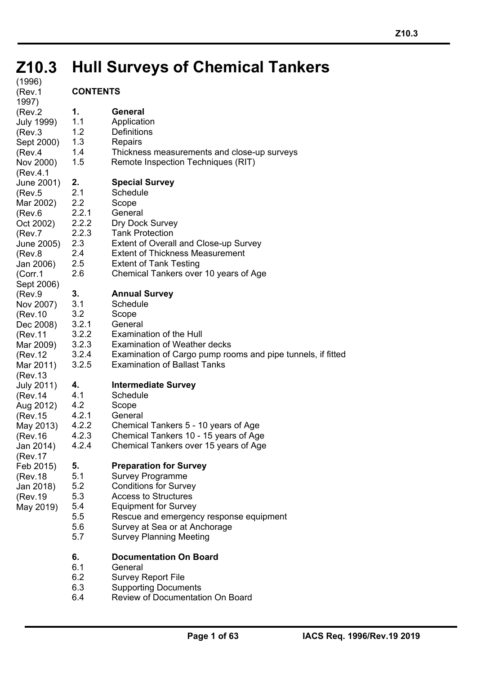# **Z10.3 Hull Surveys of Chemical Tankers Z10.3**

| (1996)<br>(Rev.1)                                                                                                                                                                                                                                                                                                                                                                                                       | <b>CONTENTS</b>                                                                      |                                                                                                                                                                                                                                                                        |
|-------------------------------------------------------------------------------------------------------------------------------------------------------------------------------------------------------------------------------------------------------------------------------------------------------------------------------------------------------------------------------------------------------------------------|--------------------------------------------------------------------------------------|------------------------------------------------------------------------------------------------------------------------------------------------------------------------------------------------------------------------------------------------------------------------|
| 1997)<br>(Rev.2)<br>July 1999)<br>(Rev.3)<br>Sept 2000)<br>(Rev.4<br>Nov 2000)                                                                                                                                                                                                                                                                                                                                          | 1.<br>1.1<br>1.2<br>1.3<br>1.4<br>1.5                                                | General<br>Application<br><b>Definitions</b><br>Repairs<br>Thickness measurements and close-up surveys<br>Remote Inspection Techniques (RIT)                                                                                                                           |
| (Rev.4.1<br>June 2001)<br>(Rev.5)<br>Mar 2002)<br>(Rev.6)<br>Oct 2002)<br>(Rev.7<br>June 2005)<br>(Rev.8<br>Jan 2006)<br>(Corr.1<br>Sept 2006)<br>(Rev.9)<br>Nov 2007)<br>(Rev.10<br>Dec 2008)<br>(Rev.11<br>Mar 2009)<br>(Rev.12<br>Mar 2011)<br>(Rev.13<br>July 2011)<br>(Rev.14<br>Aug 2012)<br>(Rev.15<br>May 2013)<br>(Rev.16<br>Jan 2014)<br>(Rev.17<br>Feb 2015)<br>(Rev.18<br>Jan 2018)<br>(Rev.19<br>May 2019) | 2.<br>2.1<br>$2.2\phantom{0}$<br>2.2.1<br>2.2.2<br>2.2.3<br>2.3<br>2.4<br>2.5<br>2.6 | <b>Special Survey</b><br>Schedule<br>Scope<br>General<br>Dry Dock Survey<br><b>Tank Protection</b><br><b>Extent of Overall and Close-up Survey</b><br><b>Extent of Thickness Measurement</b><br><b>Extent of Tank Testing</b><br>Chemical Tankers over 10 years of Age |
|                                                                                                                                                                                                                                                                                                                                                                                                                         | 3.<br>3.1<br>3.2<br>3.2.1<br>3.2.2<br>3.2.3<br>3.2.4<br>3.2.5                        | <b>Annual Survey</b><br>Schedule<br>Scope<br>General<br><b>Examination of the Hull</b><br><b>Examination of Weather decks</b><br>Examination of Cargo pump rooms and pipe tunnels, if fitted<br><b>Examination of Ballast Tanks</b>                                    |
|                                                                                                                                                                                                                                                                                                                                                                                                                         | 4.<br>4.1<br>4.2<br>4.2.1<br>4.2.2<br>4.2.3<br>4.2.4                                 | <b>Intermediate Survey</b><br>Schedule<br>Scope<br>General<br>Chemical Tankers 5 - 10 years of Age<br>Chemical Tankers 10 - 15 years of Age<br>Chemical Tankers over 15 years of Age                                                                                   |
|                                                                                                                                                                                                                                                                                                                                                                                                                         | 5.<br>5.1<br>5.2<br>5.3<br>5.4<br>5.5<br>5.6<br>5.7                                  | <b>Preparation for Survey</b><br><b>Survey Programme</b><br><b>Conditions for Survey</b><br><b>Access to Structures</b><br><b>Equipment for Survey</b><br>Rescue and emergency response equipment<br>Survey at Sea or at Anchorage<br><b>Survey Planning Meeting</b>   |
|                                                                                                                                                                                                                                                                                                                                                                                                                         | 6.                                                                                   | Documentation On Board                                                                                                                                                                                                                                                 |

í

6.1 General

6.2 Survey Report File 6.3 Supporting Documents

## **CONTENTS**

6.4 Review of Documentation On Board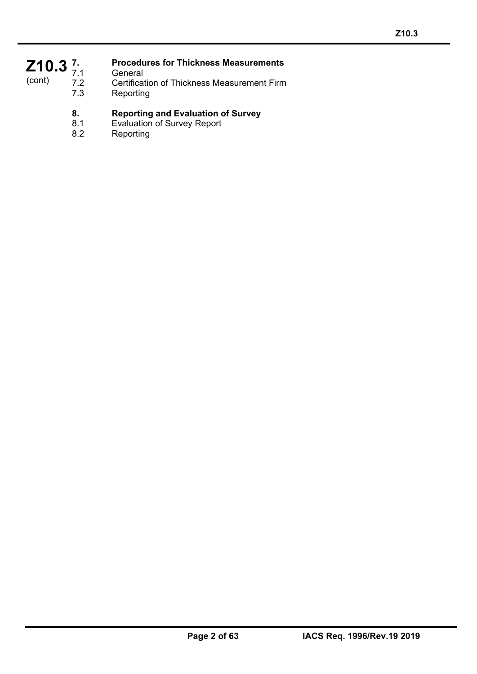## Z<sub>10.3</sub><sup>7</sup><sub>7.1</sub> (cont)

í

## **7. Procedures for Thickness Measurements**

7.1 General<br>7.2 Certificat

- 7.2 Certification of Thickness Measurement Firm<br>7.3 Reporting
	- Reporting

# **8. Reporting and Evaluation of Survey**<br>**8.1** Evaluation of Survey Report

- Evaluation of Survey Report
- 8.2 Reporting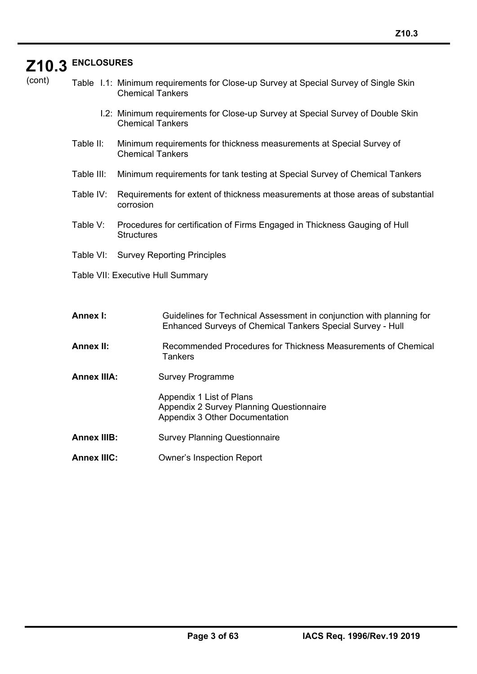# **Z10.3 ENCLOSURES**

í

| cont<br>ι |  |  |
|-----------|--|--|

Table I.1: Minimum requirements for Close-up Survey at Special Survey of Single Skin Chemical Tankers

- I.2: Minimum requirements for Close-up Survey at Special Survey of Double Skin Chemical Tankers
- Table II: Minimum requirements for thickness measurements at Special Survey of Chemical Tankers
- Table III: Minimum requirements for tank testing at Special Survey of Chemical Tankers
- Table IV: Requirements for extent of thickness measurements at those areas of substantial corrosion
- Table V: Procedures for certification of Firms Engaged in Thickness Gauging of Hull **Structures**
- Table VI: Survey Reporting Principles
- Table VII: Executive Hull Summary

| Annex I: | Guidelines for Technical Assessment in conjunction with planning for |
|----------|----------------------------------------------------------------------|
|          | Enhanced Surveys of Chemical Tankers Special Survey - Hull           |

- **Annex II:** Recommended Procedures for Thickness Measurements of Chemical **Tankers**
- **Annex IIIA:** Survey Programme

Appendix 1 List of Plans Appendix 2 Survey Planning Questionnaire Appendix 3 Other Documentation

- **Annex IIIB:** Survey Planning Questionnaire
- **Annex IIIC:** Owner's Inspection Report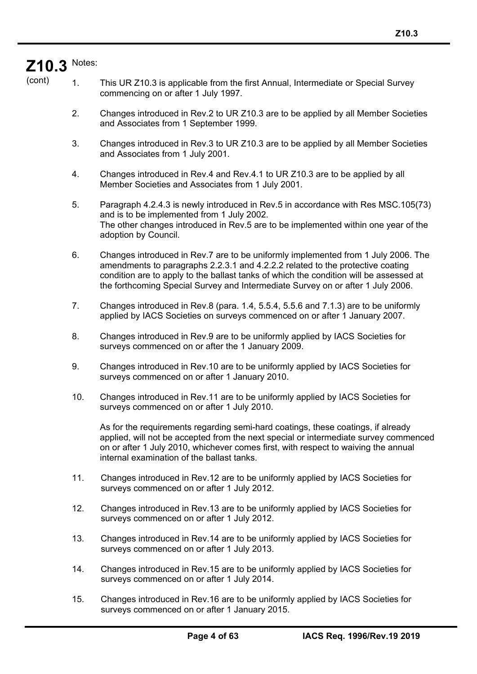# **Z10.3**  Notes:

í

- (cont) 1. This UR Z10.3 is applicable from the first Annual, Intermediate or Special Survey commencing on or after 1 July 1997.
	- 2. Changes introduced in Rev.2 to UR Z10.3 are to be applied by all Member Societies and Associates from 1 September 1999.
	- 3. Changes introduced in Rev.3 to UR Z10.3 are to be applied by all Member Societies and Associates from 1 July 2001.
	- 4. Changes introduced in Rev.4 and Rev.4.1 to UR Z10.3 are to be applied by all Member Societies and Associates from 1 July 2001.
	- 5. Paragraph 4.2.4.3 is newly introduced in Rev.5 in accordance with Res MSC.105(73) and is to be implemented from 1 July 2002. The other changes introduced in Rev.5 are to be implemented within one year of the adoption by Council.
	- 6. Changes introduced in Rev.7 are to be uniformly implemented from 1 July 2006. The amendments to paragraphs 2.2.3.1 and 4.2.2.2 related to the protective coating condition are to apply to the ballast tanks of which the condition will be assessed at the forthcoming Special Survey and Intermediate Survey on or after 1 July 2006.
	- 7. Changes introduced in Rev.8 (para. 1.4, 5.5.4, 5.5.6 and 7.1.3) are to be uniformly applied by IACS Societies on surveys commenced on or after 1 January 2007.
	- 8. Changes introduced in Rev.9 are to be uniformly applied by IACS Societies for surveys commenced on or after the 1 January 2009.
	- 9. Changes introduced in Rev.10 are to be uniformly applied by IACS Societies for surveys commenced on or after 1 January 2010.
	- 10. Changes introduced in Rev.11 are to be uniformly applied by IACS Societies for surveys commenced on or after 1 July 2010.

As for the requirements regarding semi-hard coatings, these coatings, if already applied, will not be accepted from the next special or intermediate survey commenced on or after 1 July 2010, whichever comes first, with respect to waiving the annual internal examination of the ballast tanks.

- 11. Changes introduced in Rev.12 are to be uniformly applied by IACS Societies for surveys commenced on or after 1 July 2012.
- 12. Changes introduced in Rev.13 are to be uniformly applied by IACS Societies for surveys commenced on or after 1 July 2012.
- 13. Changes introduced in Rev.14 are to be uniformly applied by IACS Societies for surveys commenced on or after 1 July 2013.
- 14. Changes introduced in Rev.15 are to be uniformly applied by IACS Societies for surveys commenced on or after 1 July 2014.
- 15. Changes introduced in Rev.16 are to be uniformly applied by IACS Societies for surveys commenced on or after 1 January 2015.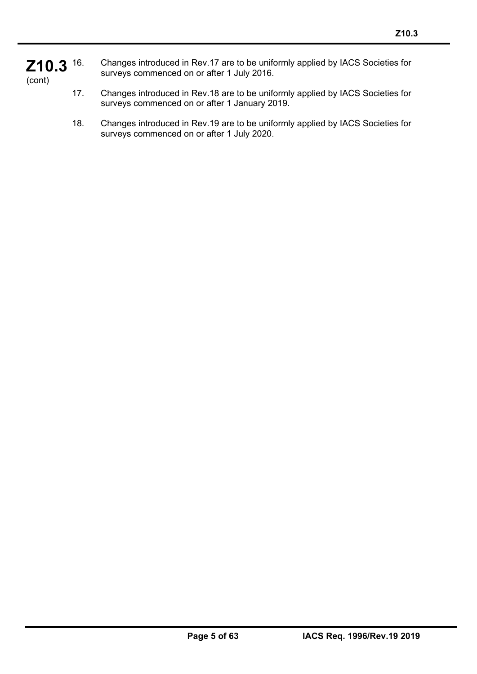#### **Z10.3**  (cont) 16. Changes introduced in Rev.17 are to be uniformly applied by IACS Societies for surveys commenced on or after 1 July 2016.

- 17. Changes introduced in Rev.18 are to be uniformly applied by IACS Societies for surveys commenced on or after 1 January 2019.
- 18. Changes introduced in Rev.19 are to be uniformly applied by IACS Societies for surveys commenced on or after 1 July 2020.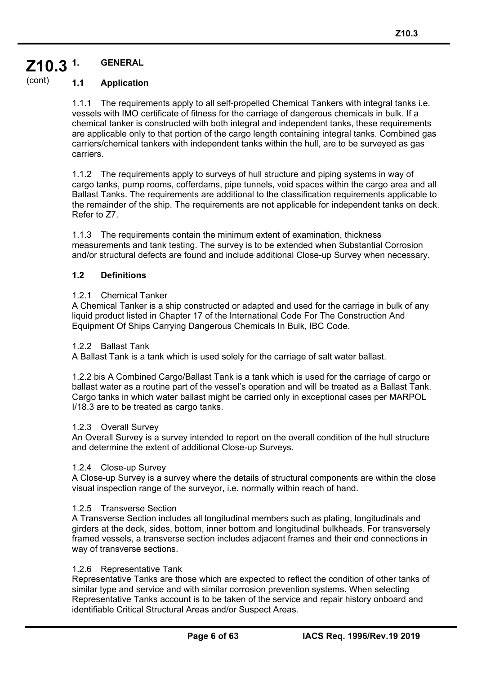#### **Z10.3 1. GENERAL**

#### (cont) **1.1 Application**

1.1.1 The requirements apply to all self-propelled Chemical Tankers with integral tanks i.e. vessels with IMO certificate of fitness for the carriage of dangerous chemicals in bulk. If a chemical tanker is constructed with both integral and independent tanks, these requirements are applicable only to that portion of the cargo length containing integral tanks. Combined gas carriers/chemical tankers with independent tanks within the hull, are to be surveyed as gas carriers.

1.1.2 The requirements apply to surveys of hull structure and piping systems in way of cargo tanks, pump rooms, cofferdams, pipe tunnels, void spaces within the cargo area and all Ballast Tanks. The requirements are additional to the classification requirements applicable to the remainder of the ship. The requirements are not applicable for independent tanks on deck. Refer to Z7.

1.1.3 The requirements contain the minimum extent of examination, thickness measurements and tank testing. The survey is to be extended when Substantial Corrosion and/or structural defects are found and include additional Close-up Survey when necessary.

## **1.2 Definitions**

### 1.2.1 Chemical Tanker

A Chemical Tanker is a ship constructed or adapted and used for the carriage in bulk of any liquid product listed in Chapter 17 of the International Code For The Construction And Equipment Of Ships Carrying Dangerous Chemicals In Bulk, IBC Code.

### 1.2.2 Ballast Tank

A Ballast Tank is a tank which is used solely for the carriage of salt water ballast.

1.2.2 bis A Combined Cargo/Ballast Tank is a tank which is used for the carriage of cargo or ballast water as a routine part of the vessel's operation and will be treated as a Ballast Tank. Cargo tanks in which water ballast might be carried only in exceptional cases per MARPOL I/18.3 are to be treated as cargo tanks.

### 1.2.3 Overall Survey

An Overall Survey is a survey intended to report on the overall condition of the hull structure and determine the extent of additional Close-up Surveys.

### 1.2.4 Close-up Survey

A Close-up Survey is a survey where the details of structural components are within the close visual inspection range of the surveyor, i.e. normally within reach of hand.

### 1.2.5 Transverse Section

A Transverse Section includes all longitudinal members such as plating, longitudinals and girders at the deck, sides, bottom, inner bottom and longitudinal bulkheads. For transversely framed vessels, a transverse section includes adjacent frames and their end connections in way of transverse sections.

### 1.2.6 Representative Tank

í

Representative Tanks are those which are expected to reflect the condition of other tanks of similar type and service and with similar corrosion prevention systems. When selecting Representative Tanks account is to be taken of the service and repair history onboard and identifiable Critical Structural Areas and/or Suspect Areas.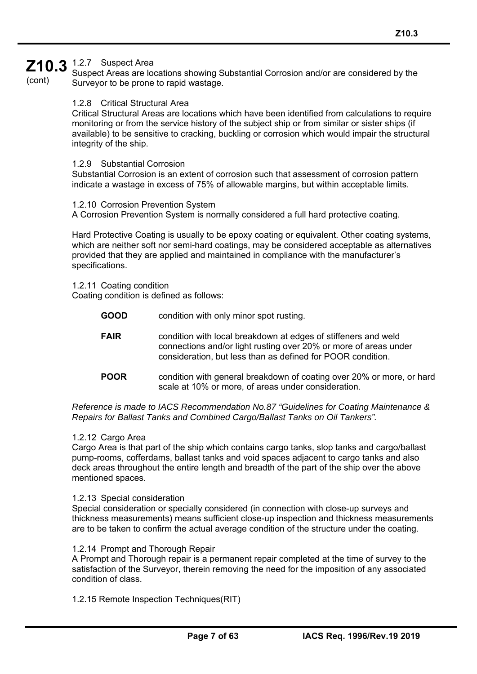## $Z10.3$   $_{SUSpect\ Area}^{1.2.7}$  Suspect Area

(cont)

Suspect Areas are locations showing Substantial Corrosion and/or are considered by the Surveyor to be prone to rapid wastage.

#### 1.2.8 Critical Structural Area

Critical Structural Areas are locations which have been identified from calculations to require monitoring or from the service history of the subject ship or from similar or sister ships (if available) to be sensitive to cracking, buckling or corrosion which would impair the structural integrity of the ship.

#### 1.2.9 Substantial Corrosion

Substantial Corrosion is an extent of corrosion such that assessment of corrosion pattern indicate a wastage in excess of 75% of allowable margins, but within acceptable limits.

#### 1.2.10 Corrosion Prevention System

A Corrosion Prevention System is normally considered a full hard protective coating.

Hard Protective Coating is usually to be epoxy coating or equivalent. Other coating systems, which are neither soft nor semi-hard coatings, may be considered acceptable as alternatives provided that they are applied and maintained in compliance with the manufacturer's specifications.

1.2.11 Coating condition Coating condition is defined as follows:

| <b>GOOD</b> | condition with only minor spot rusting.                                                                                                                                                           |
|-------------|---------------------------------------------------------------------------------------------------------------------------------------------------------------------------------------------------|
| <b>FAIR</b> | condition with local breakdown at edges of stiffeners and weld<br>connections and/or light rusting over 20% or more of areas under<br>consideration, but less than as defined for POOR condition. |
| <b>POOR</b> | condition with general breakdown of coating over 20% or more, or hard<br>scale at 10% or more, of areas under consideration.                                                                      |

*Reference is made to IACS Recommendation No.87 "Guidelines for Coating Maintenance & Repairs for Ballast Tanks and Combined Cargo/Ballast Tanks on Oil Tankers".* 

#### 1.2.12 Cargo Area

í

Cargo Area is that part of the ship which contains cargo tanks, slop tanks and cargo/ballast pump-rooms, cofferdams, ballast tanks and void spaces adjacent to cargo tanks and also deck areas throughout the entire length and breadth of the part of the ship over the above mentioned spaces.

#### 1.2.13 Special consideration

Special consideration or specially considered (in connection with close-up surveys and thickness measurements) means sufficient close-up inspection and thickness measurements are to be taken to confirm the actual average condition of the structure under the coating.

#### 1.2.14 Prompt and Thorough Repair

A Prompt and Thorough repair is a permanent repair completed at the time of survey to the satisfaction of the Surveyor, therein removing the need for the imposition of any associated condition of class.

1.2.15 Remote Inspection Techniques(RIT)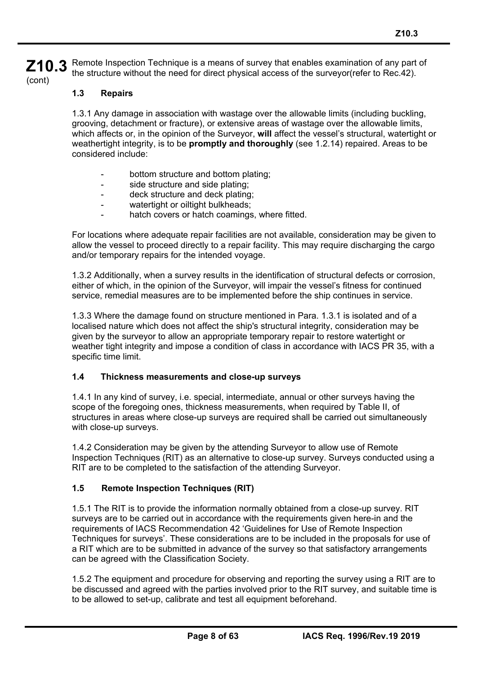**Z10.3**  (cont) Remote Inspection Technique is a means of survey that enables examination of any part of the structure without the need for direct physical access of the surveyor(refer to Rec.42).

#### **1.3 Repairs**

1.3.1 Any damage in association with wastage over the allowable limits (including buckling, grooving, detachment or fracture), or extensive areas of wastage over the allowable limits, which affects or, in the opinion of the Surveyor, **will** affect the vessel's structural, watertight or weathertight integrity, is to be **promptly and thoroughly** (see 1.2.14) repaired. Areas to be considered include:

- bottom structure and bottom plating:
- side structure and side plating;
- deck structure and deck plating;
- watertight or oiltight bulkheads;
- hatch covers or hatch coamings, where fitted.

For locations where adequate repair facilities are not available, consideration may be given to allow the vessel to proceed directly to a repair facility. This may require discharging the cargo and/or temporary repairs for the intended voyage.

1.3.2 Additionally, when a survey results in the identification of structural defects or corrosion, either of which, in the opinion of the Surveyor, will impair the vessel's fitness for continued service, remedial measures are to be implemented before the ship continues in service.

1.3.3 Where the damage found on structure mentioned in Para. 1.3.1 is isolated and of a localised nature which does not affect the ship's structural integrity, consideration may be given by the surveyor to allow an appropriate temporary repair to restore watertight or weather tight integrity and impose a condition of class in accordance with IACS PR 35, with a specific time limit.

#### **1.4 Thickness measurements and close-up surveys**

1.4.1 In any kind of survey, i.e. special, intermediate, annual or other surveys having the scope of the foregoing ones, thickness measurements, when required by Table II, of structures in areas where close-up surveys are required shall be carried out simultaneously with close-up surveys.

1.4.2 Consideration may be given by the attending Surveyor to allow use of Remote Inspection Techniques (RIT) as an alternative to close-up survey. Surveys conducted using a RIT are to be completed to the satisfaction of the attending Surveyor.

#### **1.5 Remote Inspection Techniques (RIT)**

í

1.5.1 The RIT is to provide the information normally obtained from a close-up survey. RIT surveys are to be carried out in accordance with the requirements given here-in and the requirements of IACS Recommendation 42 'Guidelines for Use of Remote Inspection Techniques for surveys'. These considerations are to be included in the proposals for use of a RIT which are to be submitted in advance of the survey so that satisfactory arrangements can be agreed with the Classification Society.

1.5.2 The equipment and procedure for observing and reporting the survey using a RIT are to be discussed and agreed with the parties involved prior to the RIT survey, and suitable time is to be allowed to set-up, calibrate and test all equipment beforehand.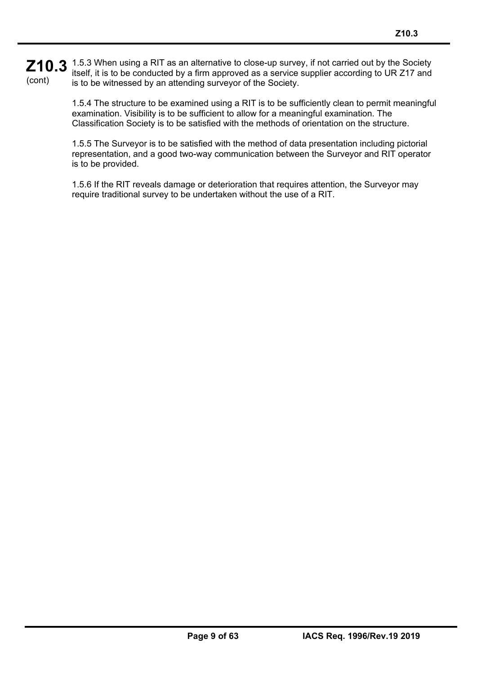#### **Z10.3** 1.5.3 When using a RIT as an alternative to close-up survey, if not carried out by the Society is to be conducted by a firm approved as a service supplier according to UR 717 and (cont) itself, it is to be conducted by a firm approved as a service supplier according to UR Z17 and is to be witnessed by an attending surveyor of the Society.

1.5.4 The structure to be examined using a RIT is to be sufficiently clean to permit meaningful examination. Visibility is to be sufficient to allow for a meaningful examination. The Classification Society is to be satisfied with the methods of orientation on the structure.

1.5.5 The Surveyor is to be satisfied with the method of data presentation including pictorial representation, and a good two-way communication between the Surveyor and RIT operator is to be provided.

1.5.6 If the RIT reveals damage or deterioration that requires attention, the Surveyor may require traditional survey to be undertaken without the use of a RIT.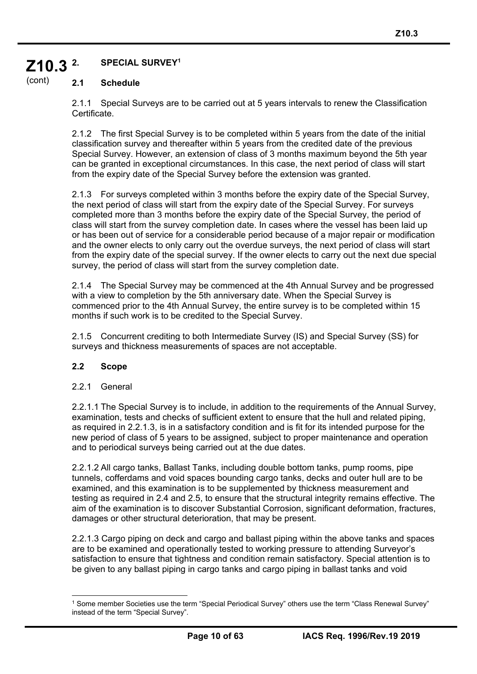#### **Z10.3 2. SPECIAL SURVEY1**

#### (cont) **2.1 Schedule**

2.1.1 Special Surveys are to be carried out at 5 years intervals to renew the Classification Certificate.

2.1.2 The first Special Survey is to be completed within 5 years from the date of the initial classification survey and thereafter within 5 years from the credited date of the previous Special Survey. However, an extension of class of 3 months maximum beyond the 5th year can be granted in exceptional circumstances. In this case, the next period of class will start from the expiry date of the Special Survey before the extension was granted.

2.1.3 For surveys completed within 3 months before the expiry date of the Special Survey, the next period of class will start from the expiry date of the Special Survey. For surveys completed more than 3 months before the expiry date of the Special Survey, the period of class will start from the survey completion date. In cases where the vessel has been laid up or has been out of service for a considerable period because of a major repair or modification and the owner elects to only carry out the overdue surveys, the next period of class will start from the expiry date of the special survey. If the owner elects to carry out the next due special survey, the period of class will start from the survey completion date.

2.1.4 The Special Survey may be commenced at the 4th Annual Survey and be progressed with a view to completion by the 5th anniversary date. When the Special Survey is commenced prior to the 4th Annual Survey, the entire survey is to be completed within 15 months if such work is to be credited to the Special Survey.

2.1.5 Concurrent crediting to both Intermediate Survey (IS) and Special Survey (SS) for surveys and thickness measurements of spaces are not acceptable.

### **2.2 Scope**

2.2.1 General

í

2.2.1.1 The Special Survey is to include, in addition to the requirements of the Annual Survey, examination, tests and checks of sufficient extent to ensure that the hull and related piping, as required in 2.2.1.3, is in a satisfactory condition and is fit for its intended purpose for the new period of class of 5 years to be assigned, subject to proper maintenance and operation and to periodical surveys being carried out at the due dates.

2.2.1.2 All cargo tanks, Ballast Tanks, including double bottom tanks, pump rooms, pipe tunnels, cofferdams and void spaces bounding cargo tanks, decks and outer hull are to be examined, and this examination is to be supplemented by thickness measurement and testing as required in 2.4 and 2.5, to ensure that the structural integrity remains effective. The aim of the examination is to discover Substantial Corrosion, significant deformation, fractures, damages or other structural deterioration, that may be present.

2.2.1.3 Cargo piping on deck and cargo and ballast piping within the above tanks and spaces are to be examined and operationally tested to working pressure to attending Surveyor's satisfaction to ensure that tightness and condition remain satisfactory. Special attention is to be given to any ballast piping in cargo tanks and cargo piping in ballast tanks and void

 $\overline{a}$ 1 Some member Societies use the term "Special Periodical Survey" others use the term "Class Renewal Survey" instead of the term "Special Survey".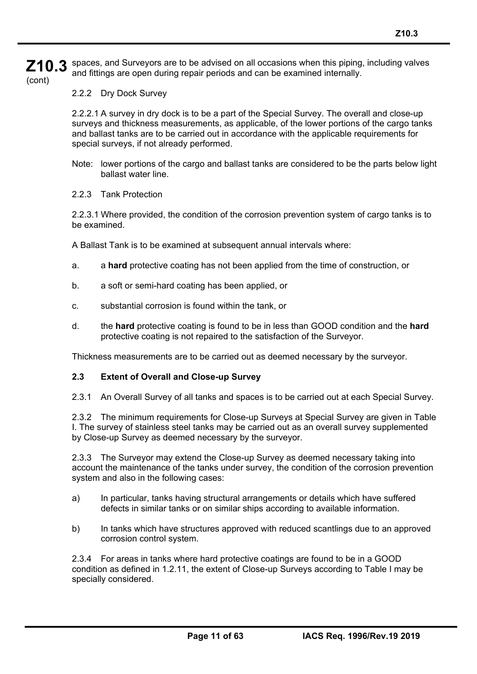**Z10.3**  (cont) spaces, and Surveyors are to be advised on all occasions when this piping, including valves and fittings are open during repair periods and can be examined internally.

2.2.2 Dry Dock Survey

2.2.2.1 A survey in dry dock is to be a part of the Special Survey. The overall and close-up surveys and thickness measurements, as applicable, of the lower portions of the cargo tanks and ballast tanks are to be carried out in accordance with the applicable requirements for special surveys, if not already performed.

- Note: lower portions of the cargo and ballast tanks are considered to be the parts below light ballast water line.
- 2.2.3 Tank Protection

í

2.2.3.1 Where provided, the condition of the corrosion prevention system of cargo tanks is to be examined.

A Ballast Tank is to be examined at subsequent annual intervals where:

- a. a **hard** protective coating has not been applied from the time of construction, or
- b. a soft or semi-hard coating has been applied, or
- c. substantial corrosion is found within the tank, or
- d. the **hard** protective coating is found to be in less than GOOD condition and the **hard**  protective coating is not repaired to the satisfaction of the Surveyor.

Thickness measurements are to be carried out as deemed necessary by the surveyor.

### **2.3 Extent of Overall and Close-up Survey**

2.3.1 An Overall Survey of all tanks and spaces is to be carried out at each Special Survey.

2.3.2 The minimum requirements for Close-up Surveys at Special Survey are given in Table I. The survey of stainless steel tanks may be carried out as an overall survey supplemented by Close-up Survey as deemed necessary by the surveyor.

2.3.3 The Surveyor may extend the Close-up Survey as deemed necessary taking into account the maintenance of the tanks under survey, the condition of the corrosion prevention system and also in the following cases:

- a) In particular, tanks having structural arrangements or details which have suffered defects in similar tanks or on similar ships according to available information.
- b) In tanks which have structures approved with reduced scantlings due to an approved corrosion control system.

2.3.4 For areas in tanks where hard protective coatings are found to be in a GOOD condition as defined in 1.2.11, the extent of Close-up Surveys according to Table I may be specially considered.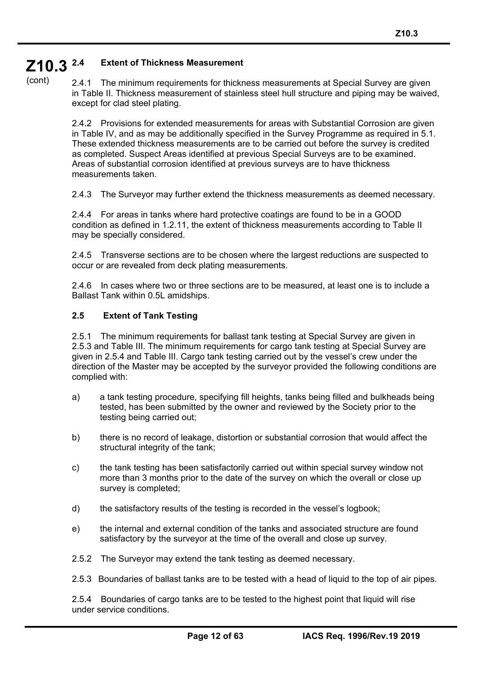#### **Z10.3 2.4 Extent of Thickness Measurement**

(cont)

2.4.1 The minimum requirements for thickness measurements at Special Survey are given in Table II. Thickness measurement of stainless steel hull structure and piping may be waived, except for clad steel plating.

2.4.2 Provisions for extended measurements for areas with Substantial Corrosion are given in Table IV, and as may be additionally specified in the Survey Programme as required in 5.1. These extended thickness measurements are to be carried out before the survey is credited as completed. Suspect Areas identified at previous Special Surveys are to be examined. Areas of substantial corrosion identified at previous surveys are to have thickness measurements taken.

2.4.3 The Surveyor may further extend the thickness measurements as deemed necessary.

2.4.4 For areas in tanks where hard protective coatings are found to be in a GOOD condition as defined in 1.2.11, the extent of thickness measurements according to Table II may be specially considered.

2.4.5 Transverse sections are to be chosen where the largest reductions are suspected to occur or are revealed from deck plating measurements.

2.4.6 In cases where two or three sections are to be measured, at least one is to include a Ballast Tank within 0.5L amidships.

#### **2.5 Extent of Tank Testing**

í

2.5.1 The minimum requirements for ballast tank testing at Special Survey are given in 2.5.3 and Table III. The minimum requirements for cargo tank testing at Special Survey are given in 2.5.4 and Table III. Cargo tank testing carried out by the vessel's crew under the direction of the Master may be accepted by the surveyor provided the following conditions are complied with:

- a) a tank testing procedure, specifying fill heights, tanks being filled and bulkheads being tested, has been submitted by the owner and reviewed by the Society prior to the testing being carried out;
- b) there is no record of leakage, distortion or substantial corrosion that would affect the structural integrity of the tank;
- c) the tank testing has been satisfactorily carried out within special survey window not more than 3 months prior to the date of the survey on which the overall or close up survey is completed;
- d) the satisfactory results of the testing is recorded in the vessel's logbook;
- e) the internal and external condition of the tanks and associated structure are found satisfactory by the surveyor at the time of the overall and close up survey.
- 2.5.2 The Surveyor may extend the tank testing as deemed necessary.
- 2.5.3 Boundaries of ballast tanks are to be tested with a head of liquid to the top of air pipes.

2.5.4 Boundaries of cargo tanks are to be tested to the highest point that liquid will rise under service conditions.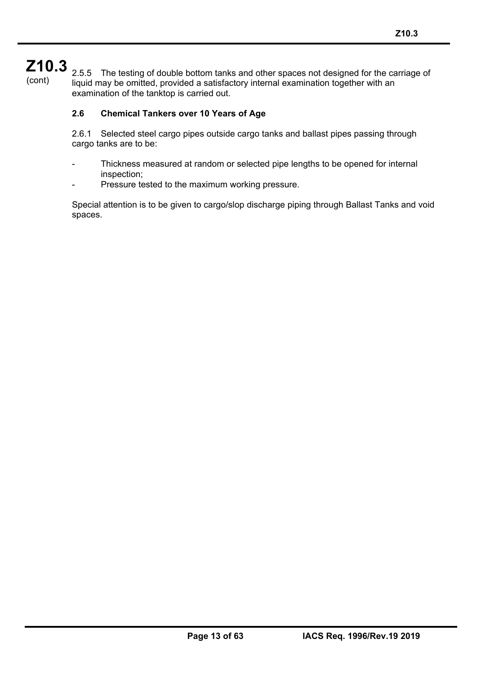# **Z10.3**

í

(cont)

2.5.5 The testing of double bottom tanks and other spaces not designed for the carriage of liquid may be omitted, provided a satisfactory internal examination together with an examination of the tanktop is carried out.

## **2.6 Chemical Tankers over 10 Years of Age**

2.6.1 Selected steel cargo pipes outside cargo tanks and ballast pipes passing through cargo tanks are to be:

- Thickness measured at random or selected pipe lengths to be opened for internal inspection;
- Pressure tested to the maximum working pressure.

Special attention is to be given to cargo/slop discharge piping through Ballast Tanks and void spaces.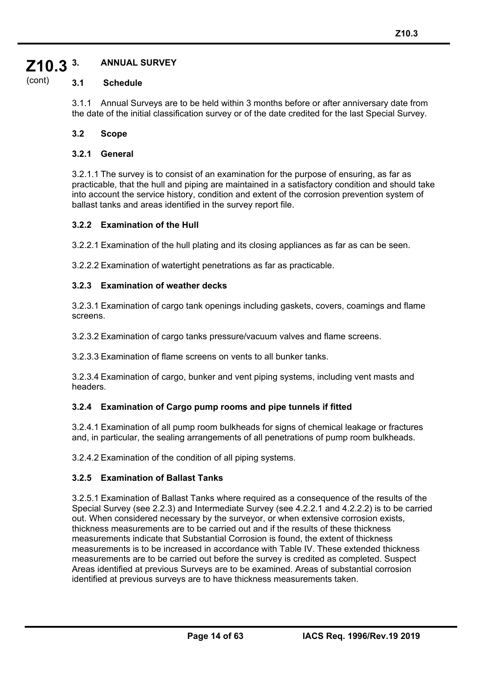#### **Z10.3 3. ANNUAL SURVEY**

#### (cont) **3.1 Schedule**

3.1.1 Annual Surveys are to be held within 3 months before or after anniversary date from the date of the initial classification survey or of the date credited for the last Special Survey.

### **3.2 Scope**

#### **3.2.1 General**

3.2.1.1 The survey is to consist of an examination for the purpose of ensuring, as far as practicable, that the hull and piping are maintained in a satisfactory condition and should take into account the service history, condition and extent of the corrosion prevention system of ballast tanks and areas identified in the survey report file.

#### **3.2.2 Examination of the Hull**

3.2.2.1 Examination of the hull plating and its closing appliances as far as can be seen.

3.2.2.2 Examination of watertight penetrations as far as practicable.

#### **3.2.3 Examination of weather decks**

3.2.3.1 Examination of cargo tank openings including gaskets, covers, coamings and flame screens.

3.2.3.2 Examination of cargo tanks pressure/vacuum valves and flame screens.

3.2.3.3 Examination of flame screens on vents to all bunker tanks.

3.2.3.4 Examination of cargo, bunker and vent piping systems, including vent masts and headers.

### **3.2.4 Examination of Cargo pump rooms and pipe tunnels if fitted**

3.2.4.1 Examination of all pump room bulkheads for signs of chemical leakage or fractures and, in particular, the sealing arrangements of all penetrations of pump room bulkheads.

3.2.4.2 Examination of the condition of all piping systems.

### **3.2.5 Examination of Ballast Tanks**

í

3.2.5.1 Examination of Ballast Tanks where required as a consequence of the results of the Special Survey (see 2.2.3) and Intermediate Survey (see 4.2.2.1 and 4.2.2.2) is to be carried out. When considered necessary by the surveyor, or when extensive corrosion exists, thickness measurements are to be carried out and if the results of these thickness measurements indicate that Substantial Corrosion is found, the extent of thickness measurements is to be increased in accordance with Table IV. These extended thickness measurements are to be carried out before the survey is credited as completed. Suspect Areas identified at previous Surveys are to be examined. Areas of substantial corrosion identified at previous surveys are to have thickness measurements taken.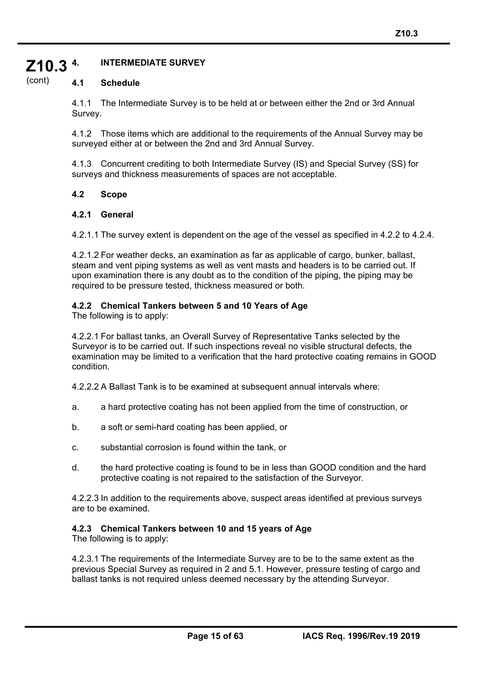#### **Z10.3 4. INTERMEDIATE SURVEY**

#### (cont) **4.1 Schedule**

4.1.1 The Intermediate Survey is to be held at or between either the 2nd or 3rd Annual Survey.

4.1.2 Those items which are additional to the requirements of the Annual Survey may be surveyed either at or between the 2nd and 3rd Annual Survey.

4.1.3 Concurrent crediting to both Intermediate Survey (IS) and Special Survey (SS) for surveys and thickness measurements of spaces are not acceptable.

#### **4.2 Scope**

#### **4.2.1 General**

4.2.1.1 The survey extent is dependent on the age of the vessel as specified in 4.2.2 to 4.2.4.

4.2.1.2 For weather decks, an examination as far as applicable of cargo, bunker, ballast, steam and vent piping systems as well as vent masts and headers is to be carried out. If upon examination there is any doubt as to the condition of the piping, the piping may be required to be pressure tested, thickness measured or both.

#### **4.2.2 Chemical Tankers between 5 and 10 Years of Age**

The following is to apply:

4.2.2.1 For ballast tanks, an Overall Survey of Representative Tanks selected by the Surveyor is to be carried out. If such inspections reveal no visible structural defects, the examination may be limited to a verification that the hard protective coating remains in GOOD condition.

4.2.2.2 A Ballast Tank is to be examined at subsequent annual intervals where:

- a. a hard protective coating has not been applied from the time of construction, or
- b. a soft or semi-hard coating has been applied, or
- c. substantial corrosion is found within the tank, or
- d. the hard protective coating is found to be in less than GOOD condition and the hard protective coating is not repaired to the satisfaction of the Surveyor.

4.2.2.3 In addition to the requirements above, suspect areas identified at previous surveys are to be examined.

### **4.2.3 Chemical Tankers between 10 and 15 years of Age**

The following is to apply:

í

4.2.3.1 The requirements of the Intermediate Survey are to be to the same extent as the previous Special Survey as required in 2 and 5.1. However, pressure testing of cargo and ballast tanks is not required unless deemed necessary by the attending Surveyor.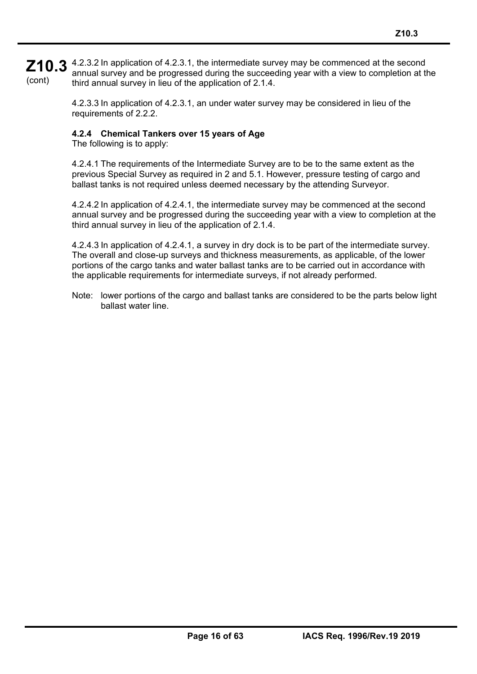**Z10.3** 4.2.3.2 In application of 4.2.3.1, the intermediate survey may be commenced at the second  $\overline{\mathbf{z}}$ (cont) annual survey and be progressed during the succeeding year with a view to completion at the third annual survey in lieu of the application of 2.1.4.

> 4.2.3.3 In application of 4.2.3.1, an under water survey may be considered in lieu of the requirements of 2.2.2.

## **4.2.4 Chemical Tankers over 15 years of Age**

The following is to apply:

4.2.4.1 The requirements of the Intermediate Survey are to be to the same extent as the previous Special Survey as required in 2 and 5.1. However, pressure testing of cargo and ballast tanks is not required unless deemed necessary by the attending Surveyor.

4.2.4.2 In application of 4.2.4.1, the intermediate survey may be commenced at the second annual survey and be progressed during the succeeding year with a view to completion at the third annual survey in lieu of the application of 2.1.4.

4.2.4.3 In application of 4.2.4.1, a survey in dry dock is to be part of the intermediate survey. The overall and close-up surveys and thickness measurements, as applicable, of the lower portions of the cargo tanks and water ballast tanks are to be carried out in accordance with the applicable requirements for intermediate surveys, if not already performed.

Note: lower portions of the cargo and ballast tanks are considered to be the parts below light ballast water line.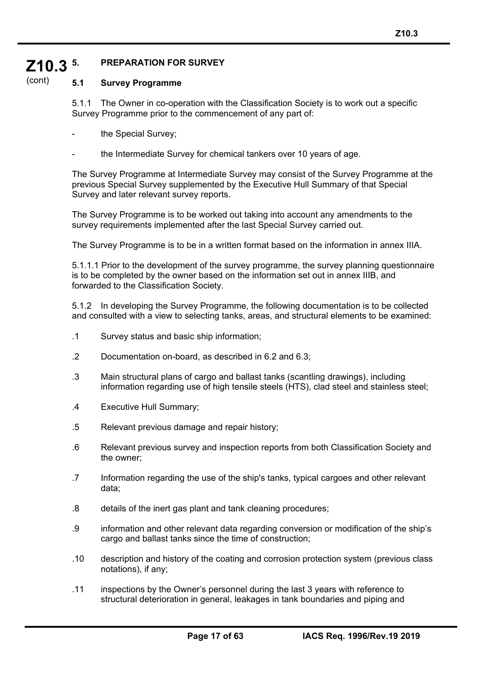#### **Z10.3 5. PREPARATION FOR SURVEY**

#### (cont) **5.1 Survey Programme**

5.1.1 The Owner in co-operation with the Classification Society is to work out a specific Survey Programme prior to the commencement of any part of:

- the Special Survey;
- the Intermediate Survey for chemical tankers over 10 years of age.

The Survey Programme at Intermediate Survey may consist of the Survey Programme at the previous Special Survey supplemented by the Executive Hull Summary of that Special Survey and later relevant survey reports.

The Survey Programme is to be worked out taking into account any amendments to the survey requirements implemented after the last Special Survey carried out.

The Survey Programme is to be in a written format based on the information in annex IIIA.

5.1.1.1 Prior to the development of the survey programme, the survey planning questionnaire is to be completed by the owner based on the information set out in annex IIIB, and forwarded to the Classification Society.

5.1.2 In developing the Survey Programme, the following documentation is to be collected and consulted with a view to selecting tanks, areas, and structural elements to be examined:

- .1 Survey status and basic ship information;
- .2 Documentation on-board, as described in 6.2 and 6.3;
- .3 Main structural plans of cargo and ballast tanks (scantling drawings), including information regarding use of high tensile steels (HTS), clad steel and stainless steel;
- .4 Executive Hull Summary;

- .5 Relevant previous damage and repair history;
- .6 Relevant previous survey and inspection reports from both Classification Society and the owner;
- .7 Information regarding the use of the ship's tanks, typical cargoes and other relevant data;
- .8 details of the inert gas plant and tank cleaning procedures;
- .9 information and other relevant data regarding conversion or modification of the ship's cargo and ballast tanks since the time of construction;
- .10 description and history of the coating and corrosion protection system (previous class notations), if any;
- .11 inspections by the Owner's personnel during the last 3 years with reference to structural deterioration in general, leakages in tank boundaries and piping and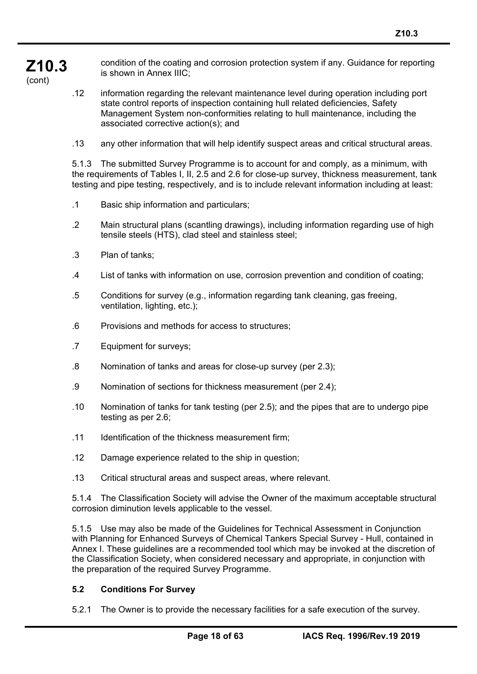**Z10.3**  condition of the coating and corrosion protection system if any. Guidance for reporting is shown in Annex IIIC;

(cont)

.12 information regarding the relevant maintenance level during operation including port state control reports of inspection containing hull related deficiencies, Safety Management System non-conformities relating to hull maintenance, including the associated corrective action(s); and

.13 any other information that will help identify suspect areas and critical structural areas.

5.1.3 The submitted Survey Programme is to account for and comply, as a minimum, with the requirements of Tables I, II, 2.5 and 2.6 for close-up survey, thickness measurement, tank testing and pipe testing, respectively, and is to include relevant information including at least:

- .1 Basic ship information and particulars;
- .2 Main structural plans (scantling drawings), including information regarding use of high tensile steels (HTS), clad steel and stainless steel;
- .3 Plan of tanks;
- .4 List of tanks with information on use, corrosion prevention and condition of coating;
- .5 Conditions for survey (e.g., information regarding tank cleaning, gas freeing, ventilation, lighting, etc.);
- .6 Provisions and methods for access to structures;
- .7 Equipment for surveys;
- .8 Nomination of tanks and areas for close-up survey (per 2.3);
- .9 Nomination of sections for thickness measurement (per 2.4);
- .10 Nomination of tanks for tank testing (per 2.5); and the pipes that are to undergo pipe testing as per 2.6;
- .11 Identification of the thickness measurement firm;
- .12 Damage experience related to the ship in question;
- .13 Critical structural areas and suspect areas, where relevant.

5.1.4 The Classification Society will advise the Owner of the maximum acceptable structural corrosion diminution levels applicable to the vessel.

5.1.5 Use may also be made of the Guidelines for Technical Assessment in Conjunction with Planning for Enhanced Surveys of Chemical Tankers Special Survey - Hull, contained in Annex I. These guidelines are a recommended tool which may be invoked at the discretion of the Classification Society, when considered necessary and appropriate, in conjunction with the preparation of the required Survey Programme.

### **5.2 Conditions For Survey**

í

5.2.1 The Owner is to provide the necessary facilities for a safe execution of the survey.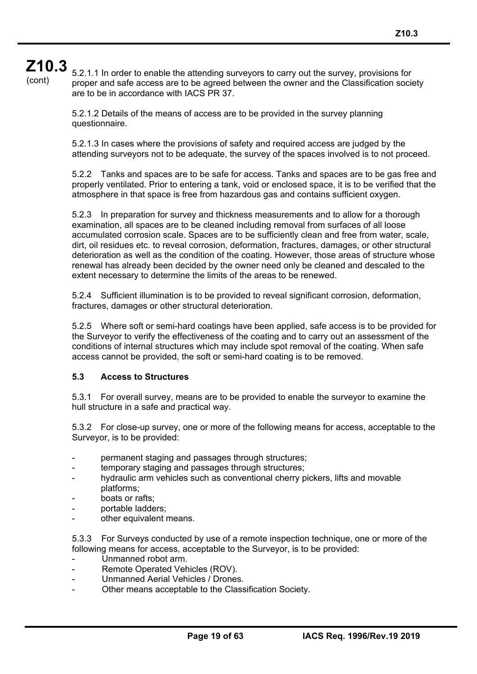# **Z10.3**

(cont)

5.2.1.1 In order to enable the attending surveyors to carry out the survey, provisions for proper and safe access are to be agreed between the owner and the Classification society are to be in accordance with IACS PR 37.

5.2.1.2 Details of the means of access are to be provided in the survey planning questionnaire.

5.2.1.3 In cases where the provisions of safety and required access are judged by the attending surveyors not to be adequate, the survey of the spaces involved is to not proceed.

5.2.2 Tanks and spaces are to be safe for access. Tanks and spaces are to be gas free and properly ventilated. Prior to entering a tank, void or enclosed space, it is to be verified that the atmosphere in that space is free from hazardous gas and contains sufficient oxygen.

5.2.3 In preparation for survey and thickness measurements and to allow for a thorough examination, all spaces are to be cleaned including removal from surfaces of all loose accumulated corrosion scale. Spaces are to be sufficiently clean and free from water, scale, dirt, oil residues etc. to reveal corrosion, deformation, fractures, damages, or other structural deterioration as well as the condition of the coating. However, those areas of structure whose renewal has already been decided by the owner need only be cleaned and descaled to the extent necessary to determine the limits of the areas to be renewed.

5.2.4 Sufficient illumination is to be provided to reveal significant corrosion, deformation, fractures, damages or other structural deterioration.

5.2.5 Where soft or semi-hard coatings have been applied, safe access is to be provided for the Surveyor to verify the effectiveness of the coating and to carry out an assessment of the conditions of internal structures which may include spot removal of the coating. When safe access cannot be provided, the soft or semi-hard coating is to be removed.

#### **5.3 Access to Structures**

5.3.1 For overall survey, means are to be provided to enable the surveyor to examine the hull structure in a safe and practical way.

5.3.2 For close-up survey, one or more of the following means for access, acceptable to the Surveyor, is to be provided:

- permanent staging and passages through structures;
- temporary staging and passages through structures;
- hydraulic arm vehicles such as conventional cherry pickers, lifts and movable platforms;
- boats or rafts:

í

- portable ladders:
- other equivalent means.

5.3.3 For Surveys conducted by use of a remote inspection technique, one or more of the following means for access, acceptable to the Surveyor, is to be provided:

- Unmanned robot arm.
- Remote Operated Vehicles (ROV).
- Unmanned Aerial Vehicles / Drones.
- Other means acceptable to the Classification Society.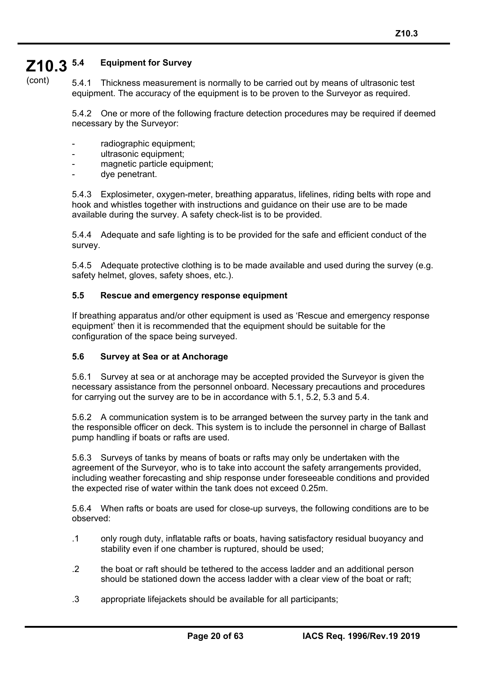#### **Z10.3 5.4 Equipment for Survey**

(cont)

5.4.1 Thickness measurement is normally to be carried out by means of ultrasonic test equipment. The accuracy of the equipment is to be proven to the Surveyor as required.

5.4.2 One or more of the following fracture detection procedures may be required if deemed necessary by the Surveyor:

- radiographic equipment;
- ultrasonic equipment;
- magnetic particle equipment:
- dye penetrant.

í

5.4.3 Explosimeter, oxygen-meter, breathing apparatus, lifelines, riding belts with rope and hook and whistles together with instructions and guidance on their use are to be made available during the survey. A safety check-list is to be provided.

5.4.4 Adequate and safe lighting is to be provided for the safe and efficient conduct of the survey.

5.4.5 Adequate protective clothing is to be made available and used during the survey (e.g. safety helmet, gloves, safety shoes, etc.).

#### **5.5 Rescue and emergency response equipment**

If breathing apparatus and/or other equipment is used as 'Rescue and emergency response equipment' then it is recommended that the equipment should be suitable for the configuration of the space being surveyed.

### **5.6 Survey at Sea or at Anchorage**

5.6.1 Survey at sea or at anchorage may be accepted provided the Surveyor is given the necessary assistance from the personnel onboard. Necessary precautions and procedures for carrying out the survey are to be in accordance with 5.1, 5.2, 5.3 and 5.4.

5.6.2 A communication system is to be arranged between the survey party in the tank and the responsible officer on deck. This system is to include the personnel in charge of Ballast pump handling if boats or rafts are used.

5.6.3 Surveys of tanks by means of boats or rafts may only be undertaken with the agreement of the Surveyor, who is to take into account the safety arrangements provided, including weather forecasting and ship response under foreseeable conditions and provided the expected rise of water within the tank does not exceed 0.25m.

5.6.4 When rafts or boats are used for close-up surveys, the following conditions are to be observed:

- .1 only rough duty, inflatable rafts or boats, having satisfactory residual buoyancy and stability even if one chamber is ruptured, should be used;
- .2 the boat or raft should be tethered to the access ladder and an additional person should be stationed down the access ladder with a clear view of the boat or raft;
- .3 appropriate lifejackets should be available for all participants;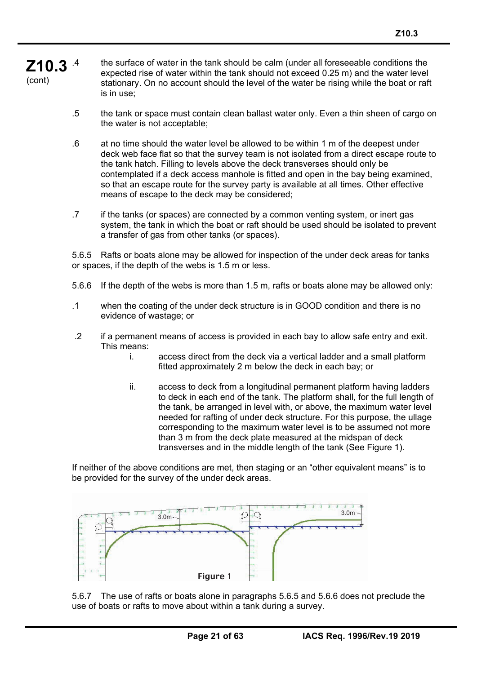#### **Z10.3**  (cont) .4 the surface of water in the tank should be calm (under all foreseeable conditions the expected rise of water within the tank should not exceed 0.25 m) and the water level stationary. On no account should the level of the water be rising while the boat or raft is in use;

- .5 the tank or space must contain clean ballast water only. Even a thin sheen of cargo on the water is not acceptable;
- .6 at no time should the water level be allowed to be within 1 m of the deepest under deck web face flat so that the survey team is not isolated from a direct escape route to the tank hatch. Filling to levels above the deck transverses should only be contemplated if a deck access manhole is fitted and open in the bay being examined, so that an escape route for the survey party is available at all times. Other effective means of escape to the deck may be considered;
- .7 if the tanks (or spaces) are connected by a common venting system, or inert gas system, the tank in which the boat or raft should be used should be isolated to prevent a transfer of gas from other tanks (or spaces).

5.6.5 Rafts or boats alone may be allowed for inspection of the under deck areas for tanks or spaces, if the depth of the webs is 1.5 m or less.

- 5.6.6 If the depth of the webs is more than 1.5 m, rafts or boats alone may be allowed only:
- .1 when the coating of the under deck structure is in GOOD condition and there is no evidence of wastage; or
- .2 if a permanent means of access is provided in each bay to allow safe entry and exit. This means:
	- i. access direct from the deck via a vertical ladder and a small platform fitted approximately 2 m below the deck in each bay; or
	- ii. access to deck from a longitudinal permanent platform having ladders to deck in each end of the tank. The platform shall, for the full length of the tank, be arranged in level with, or above, the maximum water level needed for rafting of under deck structure. For this purpose, the ullage corresponding to the maximum water level is to be assumed not more than 3 m from the deck plate measured at the midspan of deck transverses and in the middle length of the tank (See Figure 1).

If neither of the above conditions are met, then staging or an "other equivalent means" is to be provided for the survey of the under deck areas.



5.6.7 The use of rafts or boats alone in paragraphs 5.6.5 and 5.6.6 does not preclude the use of boats or rafts to move about within a tank during a survey.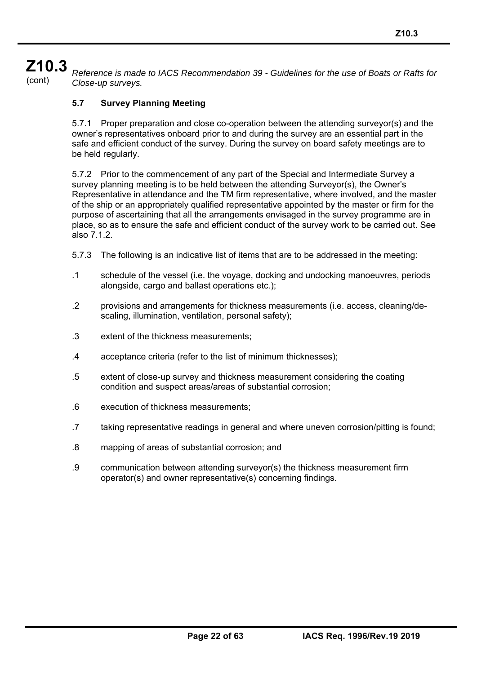# **Z10.3**

(cont) *Reference is made to IACS Recommendation 39 - Guidelines for the use of Boats or Rafts for Close-up surveys.* 

## **5.7 Survey Planning Meeting**

5.7.1 Proper preparation and close co-operation between the attending surveyor(s) and the owner's representatives onboard prior to and during the survey are an essential part in the safe and efficient conduct of the survey. During the survey on board safety meetings are to be held regularly.

5.7.2 Prior to the commencement of any part of the Special and Intermediate Survey a survey planning meeting is to be held between the attending Surveyor(s), the Owner's Representative in attendance and the TM firm representative, where involved, and the master of the ship or an appropriately qualified representative appointed by the master or firm for the purpose of ascertaining that all the arrangements envisaged in the survey programme are in place, so as to ensure the safe and efficient conduct of the survey work to be carried out. See also 7.1.2.

- 5.7.3 The following is an indicative list of items that are to be addressed in the meeting:
- .1 schedule of the vessel (i.e. the voyage, docking and undocking manoeuvres, periods alongside, cargo and ballast operations etc.);
- .2 provisions and arrangements for thickness measurements (i.e. access, cleaning/descaling, illumination, ventilation, personal safety);
- .3 extent of the thickness measurements;
- .4 acceptance criteria (refer to the list of minimum thicknesses);
- .5 extent of close-up survey and thickness measurement considering the coating condition and suspect areas/areas of substantial corrosion;
- .6 execution of thickness measurements;

- .7 taking representative readings in general and where uneven corrosion/pitting is found;
- .8 mapping of areas of substantial corrosion; and
- .9 communication between attending surveyor(s) the thickness measurement firm operator(s) and owner representative(s) concerning findings.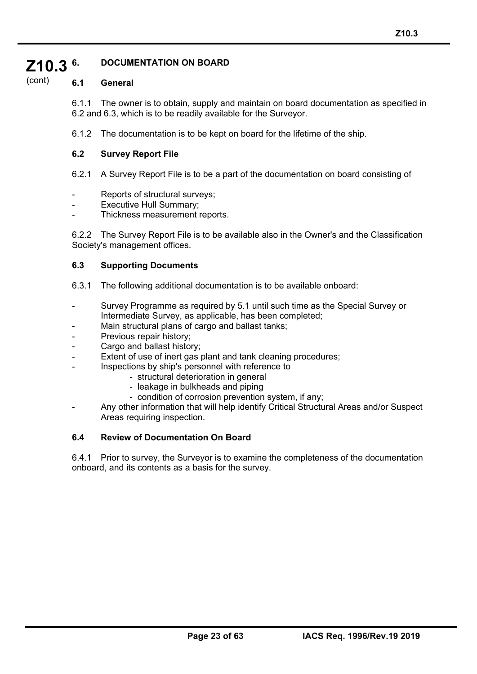#### **Z10.3 6. DOCUMENTATION ON BOARD**

#### (cont) **6.1 General**

6.1.1 The owner is to obtain, supply and maintain on board documentation as specified in 6.2 and 6.3, which is to be readily available for the Surveyor.

6.1.2 The documentation is to be kept on board for the lifetime of the ship.

#### **6.2 Survey Report File**

6.2.1 A Survey Report File is to be a part of the documentation on board consisting of

- Reports of structural surveys;
- Executive Hull Summary;
- Thickness measurement reports.

6.2.2 The Survey Report File is to be available also in the Owner's and the Classification Society's management offices.

#### **6.3 Supporting Documents**

- 6.3.1 The following additional documentation is to be available onboard:
- Survey Programme as required by 5.1 until such time as the Special Survey or Intermediate Survey, as applicable, has been completed;
- Main structural plans of cargo and ballast tanks;
- Previous repair history;

í

- Cargo and ballast history;
- Extent of use of inert gas plant and tank cleaning procedures;
- Inspections by ship's personnel with reference to
	- structural deterioration in general
	- leakage in bulkheads and piping
	- condition of corrosion prevention system, if any;
- Any other information that will help identify Critical Structural Areas and/or Suspect Areas requiring inspection.

### **6.4 Review of Documentation On Board**

6.4.1 Prior to survey, the Surveyor is to examine the completeness of the documentation onboard, and its contents as a basis for the survey.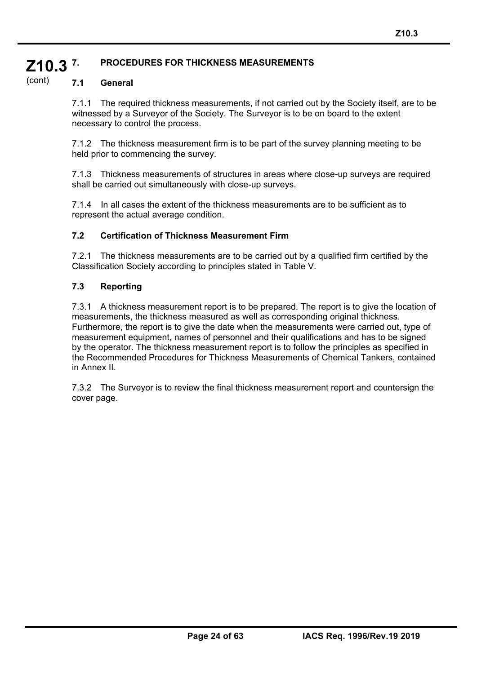#### **Z10.3 7. PROCEDURES FOR THICKNESS MEASUREMENTS**

#### (cont) **7.1 General**

7.1.1 The required thickness measurements, if not carried out by the Society itself, are to be witnessed by a Surveyor of the Society. The Surveyor is to be on board to the extent necessary to control the process.

7.1.2 The thickness measurement firm is to be part of the survey planning meeting to be held prior to commencing the survey.

7.1.3 Thickness measurements of structures in areas where close-up surveys are required shall be carried out simultaneously with close-up surveys.

7.1.4 In all cases the extent of the thickness measurements are to be sufficient as to represent the actual average condition.

#### **7.2 Certification of Thickness Measurement Firm**

7.2.1 The thickness measurements are to be carried out by a qualified firm certified by the Classification Society according to principles stated in Table V.

### **7.3 Reporting**

í

7.3.1 A thickness measurement report is to be prepared. The report is to give the location of measurements, the thickness measured as well as corresponding original thickness. Furthermore, the report is to give the date when the measurements were carried out, type of measurement equipment, names of personnel and their qualifications and has to be signed by the operator. The thickness measurement report is to follow the principles as specified in the Recommended Procedures for Thickness Measurements of Chemical Tankers, contained in Annex II.

7.3.2 The Surveyor is to review the final thickness measurement report and countersign the cover page.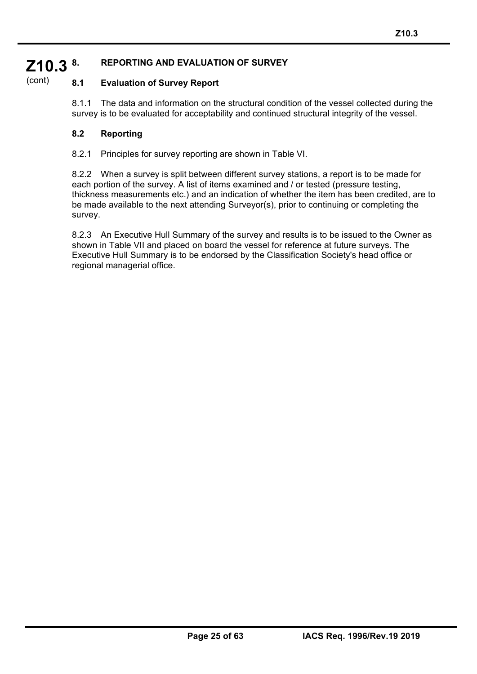#### **Z10.3 8. REPORTING AND EVALUATION OF SURVEY**

#### (cont) **8.1 Evaluation of Survey Report**

8.1.1 The data and information on the structural condition of the vessel collected during the survey is to be evaluated for acceptability and continued structural integrity of the vessel.

#### **8.2 Reporting**

í

8.2.1 Principles for survey reporting are shown in Table VI.

8.2.2 When a survey is split between different survey stations, a report is to be made for each portion of the survey. A list of items examined and / or tested (pressure testing, thickness measurements etc.) and an indication of whether the item has been credited, are to be made available to the next attending Surveyor(s), prior to continuing or completing the survey.

8.2.3 An Executive Hull Summary of the survey and results is to be issued to the Owner as shown in Table VII and placed on board the vessel for reference at future surveys. The Executive Hull Summary is to be endorsed by the Classification Society's head office or regional managerial office.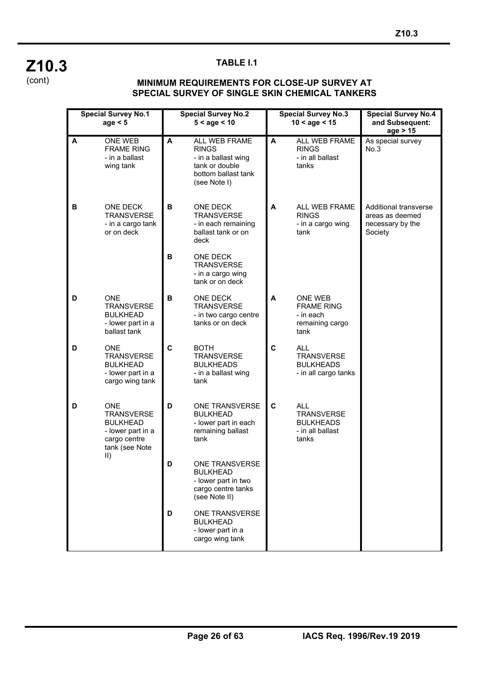

í

### **TABLE I.1**

#### **MINIMUM REQUIREMENTS FOR CLOSE-UP SURVEY AT SPECIAL SURVEY OF SINGLE SKIN CHEMICAL TANKERS**

|   | <b>Special Survey No.1</b><br>age $< 5$                                                                                  |   | <b>Special Survey No.2</b><br><b>Special Survey No.3</b><br>$5 <$ age $< 10$<br>$10 <$ age $< 15$             |   | <b>Special Survey No.4</b><br>and Subsequent:<br>age > 15                        |                                                                                |
|---|--------------------------------------------------------------------------------------------------------------------------|---|---------------------------------------------------------------------------------------------------------------|---|----------------------------------------------------------------------------------|--------------------------------------------------------------------------------|
| A | ONE WEB<br><b>FRAME RING</b><br>- in a ballast<br>wing tank                                                              | A | ALL WEB FRAME<br><b>RINGS</b><br>- in a ballast wing<br>tank or double<br>bottom ballast tank<br>(see Note I) | A | ALL WEB FRAME<br><b>RINGS</b><br>- in all ballast<br>tanks                       | As special survey<br>No.3                                                      |
| в | <b>ONE DECK</b><br><b>TRANSVERSE</b><br>- in a cargo tank<br>or on deck                                                  | В | ONE DECK<br><b>TRANSVERSE</b><br>- in each remaining<br>ballast tank or on<br>deck                            | A | <b>ALL WEB FRAME</b><br><b>RINGS</b><br>- in a cargo wing<br>tank                | <b>Additional transverse</b><br>areas as deemed<br>necessary by the<br>Society |
|   |                                                                                                                          | B | <b>ONE DECK</b><br><b>TRANSVERSE</b><br>- in a cargo wing<br>tank or on deck                                  |   |                                                                                  |                                                                                |
| D | <b>ONE</b><br><b>TRANSVERSE</b><br><b>BULKHEAD</b><br>- lower part in a<br>ballast tank                                  | В | ONE DECK<br><b>TRANSVERSE</b><br>- in two cargo centre<br>tanks or on deck                                    | A | <b>ONE WEB</b><br><b>FRAME RING</b><br>- in each<br>remaining cargo<br>tank      |                                                                                |
| D | <b>ONE</b><br><b>TRANSVERSE</b><br><b>BULKHEAD</b><br>- lower part in a<br>cargo wing tank                               | C | <b>BOTH</b><br><b>TRANSVERSE</b><br><b>BULKHEADS</b><br>- in a ballast wing<br>tank                           | C | <b>ALL</b><br><b>TRANSVERSE</b><br><b>BULKHEADS</b><br>- in all cargo tanks      |                                                                                |
| D | <b>ONE</b><br><b>TRANSVERSE</b><br><b>BULKHEAD</b><br>- lower part in a<br>cargo centre<br>tank (see Note<br>$\vert$ II) | D | ONE TRANSVERSE<br><b>BULKHEAD</b><br>- lower part in each<br>remaining ballast<br>tank                        | C | <b>ALL</b><br><b>TRANSVERSE</b><br><b>BULKHEADS</b><br>- in all ballast<br>tanks |                                                                                |
|   |                                                                                                                          | D | ONE TRANSVERSE<br><b>BULKHEAD</b><br>- lower part in two<br>cargo centre tanks<br>(see Note II)               |   |                                                                                  |                                                                                |
|   |                                                                                                                          | D | ONE TRANSVERSE<br><b>BULKHEAD</b><br>- lower part in a<br>cargo wing tank                                     |   |                                                                                  |                                                                                |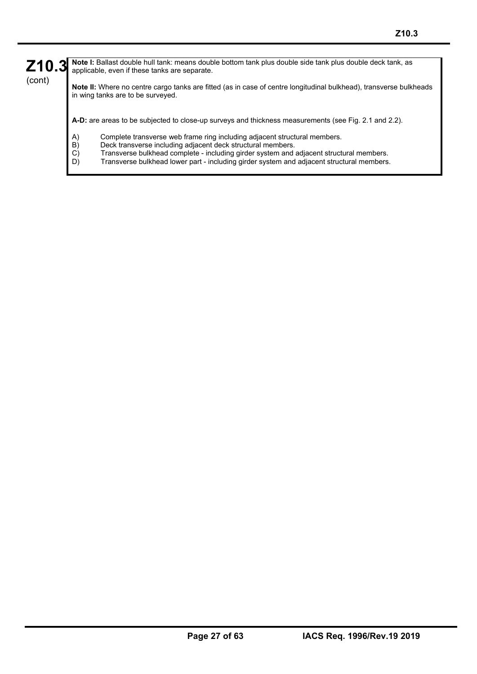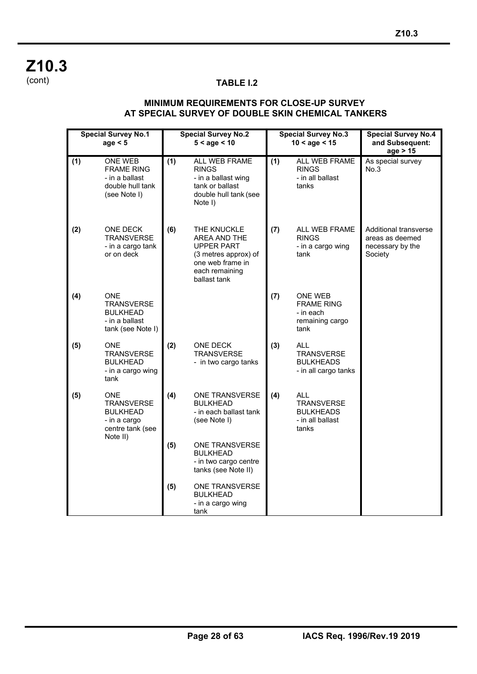**Z10.3**  (cont)

í

## **TABLE I.2**

#### **MINIMUM REQUIREMENTS FOR CLOSE-UP SURVEY AT SPECIAL SURVEY OF DOUBLE SKIN CHEMICAL TANKERS**

|     | <b>Special Survey No.1</b><br><b>Special Survey No.2</b><br>$5 <$ age $< 10$<br>age < 5            |     | <b>Special Survey No.3</b><br>$10 <$ age $< 15$                                                                         | <b>Special Survey No.4</b><br>and Subsequent:<br>age > 15 |                                                                                  |                                                                         |
|-----|----------------------------------------------------------------------------------------------------|-----|-------------------------------------------------------------------------------------------------------------------------|-----------------------------------------------------------|----------------------------------------------------------------------------------|-------------------------------------------------------------------------|
| (1) | <b>ONE WEB</b><br><b>FRAME RING</b><br>- in a ballast<br>double hull tank<br>(see Note I)          | (1) | ALL WEB FRAME<br><b>RINGS</b><br>- in a ballast wing<br>tank or ballast<br>double hull tank (see<br>Note I)             | (1)                                                       | ALL WEB FRAME<br><b>RINGS</b><br>- in all ballast<br>tanks                       | As special survey<br>No.3                                               |
| (2) | <b>ONE DECK</b><br><b>TRANSVERSE</b><br>- in a cargo tank<br>or on deck                            | (6) | THE KNUCKLE<br>AREA AND THE<br>UPPER PART<br>(3 metres approx) of<br>one web frame in<br>each remaining<br>ballast tank | (7)                                                       | ALL WEB FRAME<br><b>RINGS</b><br>- in a cargo wing<br>tank                       | Additional transverse<br>areas as deemed<br>necessary by the<br>Society |
| (4) | <b>ONE</b><br><b>TRANSVERSE</b><br><b>BULKHEAD</b><br>- in a ballast<br>tank (see Note I)          |     |                                                                                                                         | (7)                                                       | ONE WEB<br><b>FRAME RING</b><br>- in each<br>remaining cargo<br>tank             |                                                                         |
| (5) | ONE.<br><b>TRANSVERSE</b><br><b>BULKHEAD</b><br>- in a cargo wing<br>tank                          | (2) | <b>ONE DECK</b><br><b>TRANSVERSE</b><br>- in two cargo tanks                                                            | (3)                                                       | <b>ALL</b><br><b>TRANSVERSE</b><br><b>BULKHEADS</b><br>- in all cargo tanks      |                                                                         |
| (5) | <b>ONE</b><br><b>TRANSVERSE</b><br><b>BULKHEAD</b><br>- in a cargo<br>centre tank (see<br>Note II) | (4) | ONE TRANSVERSE<br><b>BULKHEAD</b><br>- in each ballast tank<br>(see Note I)                                             | (4)                                                       | <b>ALL</b><br><b>TRANSVERSE</b><br><b>BULKHEADS</b><br>- in all ballast<br>tanks |                                                                         |
|     |                                                                                                    | (5) | ONE TRANSVERSE<br><b>BULKHEAD</b><br>- in two cargo centre<br>tanks (see Note II)                                       |                                                           |                                                                                  |                                                                         |
|     |                                                                                                    | (5) | <b>ONE TRANSVERSE</b><br><b>BULKHEAD</b><br>- in a cargo wing<br>tank                                                   |                                                           |                                                                                  |                                                                         |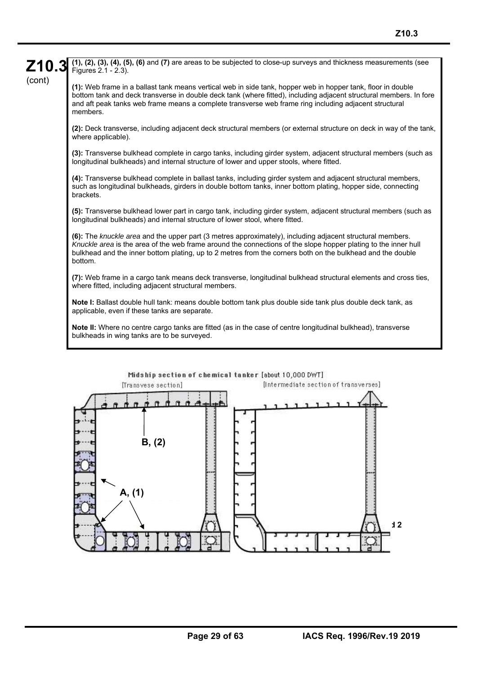**Note I:** Ballast double hull tank: means double bottom tank plus double side tank plus double deck tank, as applicable, even if these tanks are separate.

**Note II:** Where no centre cargo tanks are fitted (as in the case of centre longitudinal bulkhead), transverse bulkheads in wing tanks are to be surveyed.

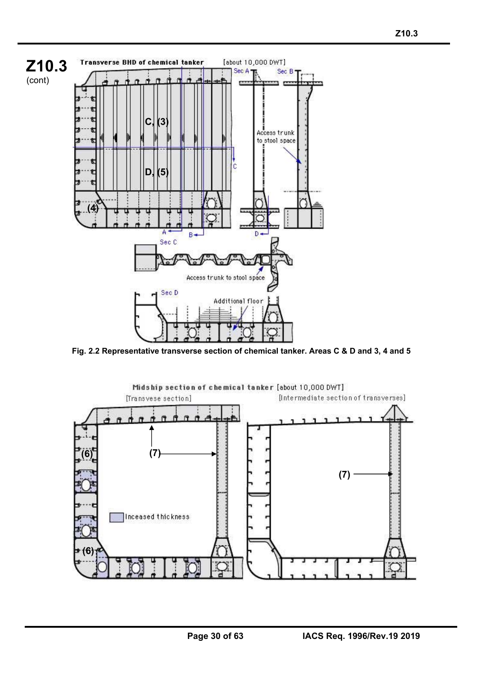

**Fig. 2.2 Representative transverse section of chemical tanker. Areas C & D and 3, 4 and 5** 

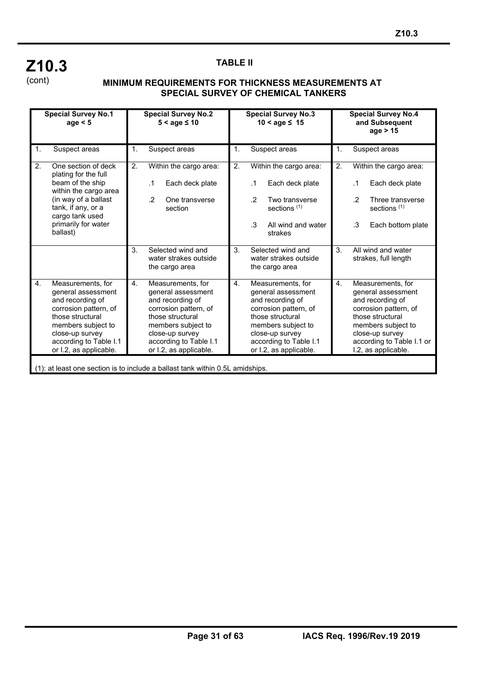## **Z10.3**  (cont)

í

#### **TABLE II**

#### **MINIMUM REQUIREMENTS FOR THICKNESS MEASUREMENTS AT SPECIAL SURVEY OF CHEMICAL TANKERS**

|                | <b>Special Survey No.1</b><br>age $< 5$                                                                                                                                                               | <b>Special Survey No.2</b><br>$5 <$ age $\leq 10$<br>$10 <$ age $\leq 15$                                                                                                                                                     |                                                                                                       | <b>Special Survey No.3</b>                                                                                                                                                                                                    |    |                            | <b>Special Survey No.4</b><br>and Subsequent<br>age > 15                                                     |                                                                                                                                                                                   |                                   |                                                                                                               |
|----------------|-------------------------------------------------------------------------------------------------------------------------------------------------------------------------------------------------------|-------------------------------------------------------------------------------------------------------------------------------------------------------------------------------------------------------------------------------|-------------------------------------------------------------------------------------------------------|-------------------------------------------------------------------------------------------------------------------------------------------------------------------------------------------------------------------------------|----|----------------------------|--------------------------------------------------------------------------------------------------------------|-----------------------------------------------------------------------------------------------------------------------------------------------------------------------------------|-----------------------------------|---------------------------------------------------------------------------------------------------------------|
| $\mathbf{1}$ . | Suspect areas                                                                                                                                                                                         | 1.                                                                                                                                                                                                                            | Suspect areas                                                                                         |                                                                                                                                                                                                                               | 1. |                            | Suspect areas                                                                                                | 1.                                                                                                                                                                                | Suspect areas                     |                                                                                                               |
| 2.             | One section of deck<br>plating for the full<br>beam of the ship<br>within the cargo area<br>(in way of a ballast<br>tank, if any, or a<br>cargo tank used<br>primarily for water<br>ballast)          | 2.                                                                                                                                                                                                                            | Within the cargo area:<br>$\cdot$ 1<br>Each deck plate<br>$\overline{2}$<br>One transverse<br>section |                                                                                                                                                                                                                               | 2. | $\mathcal{P}$<br>$\cdot$ 3 | Within the cargo area:<br>Each deck plate<br>Two transverse<br>sections <sup>(1)</sup><br>All wind and water | 2.                                                                                                                                                                                | $\cdot$ 1<br>$\overline{2}$<br>.3 | Within the cargo area:<br>Each deck plate<br>Three transverse<br>sections <sup>(1)</sup><br>Each bottom plate |
|                |                                                                                                                                                                                                       | 3.                                                                                                                                                                                                                            | Selected wind and<br>water strakes outside                                                            |                                                                                                                                                                                                                               | 3. |                            | strakes<br>Selected wind and<br>water strakes outside                                                        | 3.                                                                                                                                                                                |                                   | All wind and water<br>strakes, full length                                                                    |
| $\mathbf{4}$ . | Measurements, for<br>general assessment<br>and recording of<br>corrosion pattern, of<br>those structural<br>members subject to<br>close-up survey<br>according to Table I.1<br>or I.2, as applicable. | the cargo area<br>4.<br>Measurements, for<br>general assessment<br>and recording of<br>corrosion pattern, of<br>those structural<br>members subject to<br>close-up survey<br>according to Table I.1<br>or I.2, as applicable. |                                                                                                       | the cargo area<br>4.<br>Measurements, for<br>general assessment<br>and recording of<br>corrosion pattern, of<br>those structural<br>members subject to<br>close-up survey<br>according to Table I.1<br>or I.2, as applicable. |    | $\mathbf{4}$ .             | those structural                                                                                             | Measurements, for<br>general assessment<br>and recording of<br>corrosion pattern, of<br>members subject to<br>close-up survey<br>according to Table I.1 or<br>I.2, as applicable. |                                   |                                                                                                               |
|                | (1): at least one section is to include a ballast tank within 0.5L amidships.                                                                                                                         |                                                                                                                                                                                                                               |                                                                                                       |                                                                                                                                                                                                                               |    |                            |                                                                                                              |                                                                                                                                                                                   |                                   |                                                                                                               |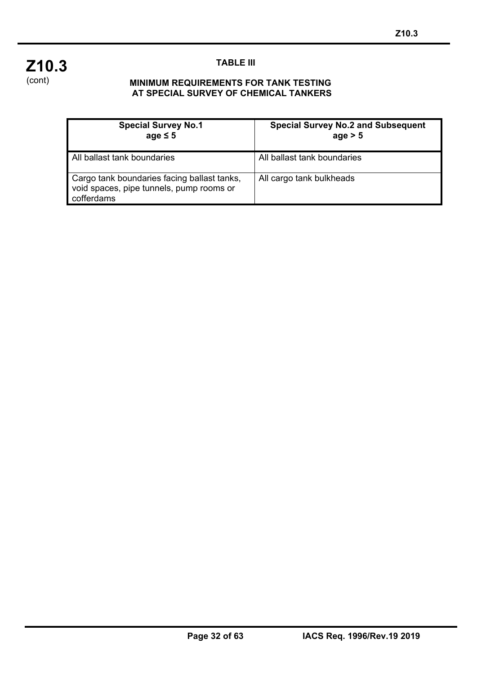

í

## **TABLE III**

#### **MINIMUM REQUIREMENTS FOR TANK TESTING AT SPECIAL SURVEY OF CHEMICAL TANKERS**

| <b>Special Survey No.1</b><br>age $\leq 5$                                                            | <b>Special Survey No.2 and Subsequent</b><br>age > 5 |
|-------------------------------------------------------------------------------------------------------|------------------------------------------------------|
| All ballast tank boundaries                                                                           | All ballast tank boundaries                          |
| Cargo tank boundaries facing ballast tanks,<br>void spaces, pipe tunnels, pump rooms or<br>cofferdams | All cargo tank bulkheads                             |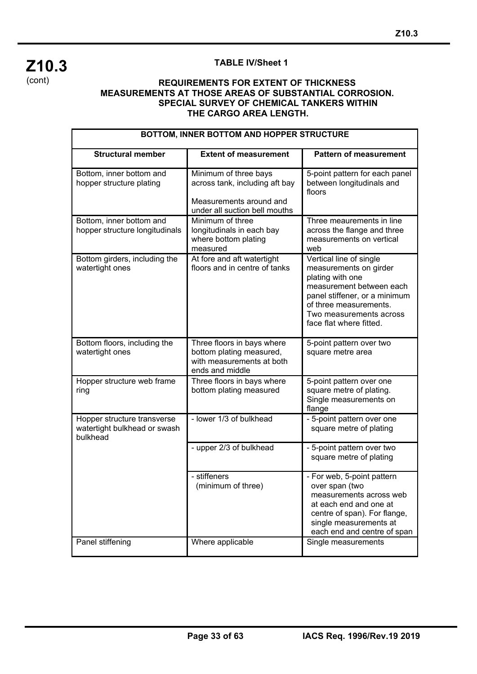

í

### **TABLE IV/Sheet 1**

| BOTTOM, INNER BOTTOM AND HOPPER STRUCTURE                               |                                                                                                                     |                                                                                                                                                                                                                    |  |  |  |
|-------------------------------------------------------------------------|---------------------------------------------------------------------------------------------------------------------|--------------------------------------------------------------------------------------------------------------------------------------------------------------------------------------------------------------------|--|--|--|
| <b>Structural member</b>                                                | <b>Extent of measurement</b>                                                                                        | <b>Pattern of measurement</b>                                                                                                                                                                                      |  |  |  |
| Bottom, inner bottom and<br>hopper structure plating                    | Minimum of three bays<br>across tank, including aft bay<br>Measurements around and<br>under all suction bell mouths | 5-point pattern for each panel<br>between longitudinals and<br>floors                                                                                                                                              |  |  |  |
| Bottom, inner bottom and<br>hopper structure longitudinals              | Minimum of three<br>longitudinals in each bay<br>where bottom plating<br>measured                                   | Three meaurements in line<br>across the flange and three<br>measurements on vertical<br>web                                                                                                                        |  |  |  |
| Bottom girders, including the<br>watertight ones                        | At fore and aft watertight<br>floors and in centre of tanks                                                         | Vertical line of single<br>measurements on girder<br>plating with one<br>measurement between each<br>panel stiffener, or a minimum<br>of three measurements.<br>Two measurements across<br>face flat where fitted. |  |  |  |
| Bottom floors, including the<br>watertight ones                         | Three floors in bays where<br>bottom plating measured,<br>with measurements at both<br>ends and middle              | 5-point pattern over two<br>square metre area                                                                                                                                                                      |  |  |  |
| Hopper structure web frame<br>ring                                      | Three floors in bays where<br>bottom plating measured                                                               | 5-point pattern over one<br>square metre of plating.<br>Single measurements on<br>flange                                                                                                                           |  |  |  |
| Hopper structure transverse<br>watertight bulkhead or swash<br>bulkhead | - lower 1/3 of bulkhead                                                                                             | - 5-point pattern over one<br>square metre of plating                                                                                                                                                              |  |  |  |
|                                                                         | - upper 2/3 of bulkhead                                                                                             | - 5-point pattern over two<br>square metre of plating                                                                                                                                                              |  |  |  |
| Panel stiffening                                                        | - stiffeners<br>(minimum of three)<br>Where applicable                                                              | - For web, 5-point pattern<br>over span (two<br>measurements across web<br>at each end and one at<br>centre of span). For flange,<br>single measurements at<br>each end and centre of span<br>Single measurements  |  |  |  |
|                                                                         |                                                                                                                     |                                                                                                                                                                                                                    |  |  |  |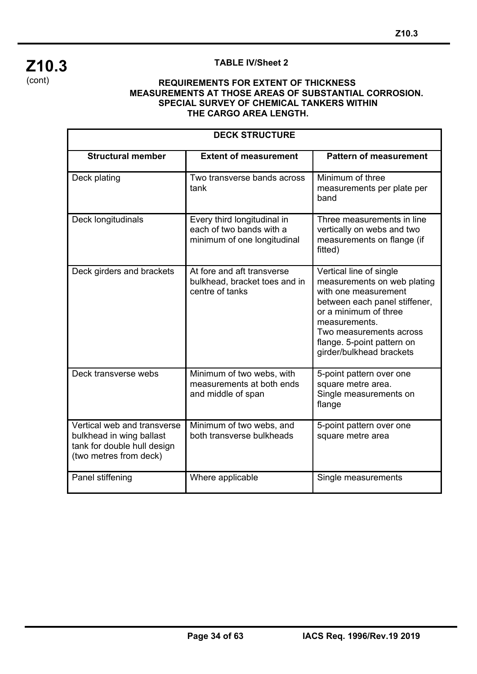## **Z10.3**  (cont)

í

## **TABLE IV/Sheet 2**

| <b>DECK STRUCTURE</b>                                                                                            |                                                                                        |                                                                                                                                                                                                                                                |  |  |  |  |
|------------------------------------------------------------------------------------------------------------------|----------------------------------------------------------------------------------------|------------------------------------------------------------------------------------------------------------------------------------------------------------------------------------------------------------------------------------------------|--|--|--|--|
| <b>Structural member</b>                                                                                         | <b>Extent of measurement</b>                                                           | <b>Pattern of measurement</b>                                                                                                                                                                                                                  |  |  |  |  |
| Deck plating                                                                                                     | Two transverse bands across<br>tank                                                    | Minimum of three<br>measurements per plate per<br>band                                                                                                                                                                                         |  |  |  |  |
| Deck longitudinals                                                                                               | Every third longitudinal in<br>each of two bands with a<br>minimum of one longitudinal | Three measurements in line<br>vertically on webs and two<br>measurements on flange (if<br>fitted)                                                                                                                                              |  |  |  |  |
| Deck girders and brackets                                                                                        | At fore and aft transverse<br>bulkhead, bracket toes and in<br>centre of tanks         | Vertical line of single<br>measurements on web plating<br>with one measurement<br>between each panel stiffener,<br>or a minimum of three<br>measurements.<br>Two measurements across<br>flange. 5-point pattern on<br>girder/bulkhead brackets |  |  |  |  |
| Deck transverse webs                                                                                             | Minimum of two webs, with<br>measurements at both ends<br>and middle of span           | 5-point pattern over one<br>square metre area.<br>Single measurements on<br>flange                                                                                                                                                             |  |  |  |  |
| Vertical web and transverse<br>bulkhead in wing ballast<br>tank for double hull design<br>(two metres from deck) | Minimum of two webs, and<br>both transverse bulkheads                                  | 5-point pattern over one<br>square metre area                                                                                                                                                                                                  |  |  |  |  |
| Panel stiffening                                                                                                 | Where applicable                                                                       | Single measurements                                                                                                                                                                                                                            |  |  |  |  |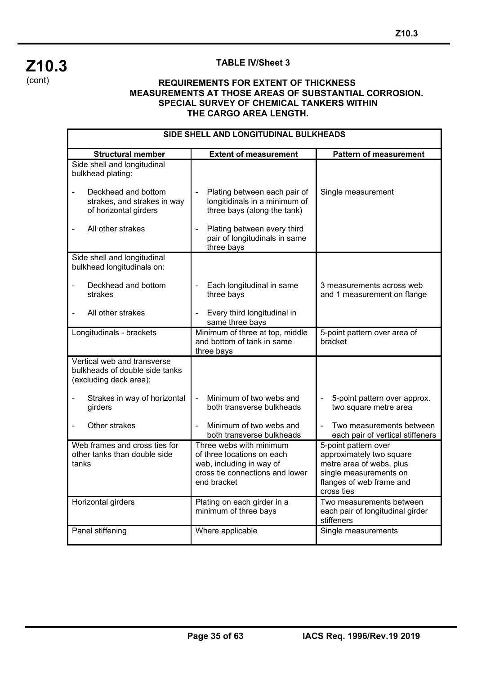

í

#### **TABLE IV/Sheet 3**

| SIDE SHELL AND LONGITUDINAL BULKHEADS                                                   |                                                                                                                                     |                                                                                                                                                  |  |  |  |
|-----------------------------------------------------------------------------------------|-------------------------------------------------------------------------------------------------------------------------------------|--------------------------------------------------------------------------------------------------------------------------------------------------|--|--|--|
| <b>Structural member</b>                                                                | <b>Extent of measurement</b>                                                                                                        | <b>Pattern of measurement</b>                                                                                                                    |  |  |  |
| Side shell and longitudinal<br>bulkhead plating:                                        |                                                                                                                                     |                                                                                                                                                  |  |  |  |
| Deckhead and bottom<br>strakes, and strakes in way<br>of horizontal girders             | Plating between each pair of<br>$\blacksquare$<br>longitidinals in a minimum of<br>three bays (along the tank)                      | Single measurement                                                                                                                               |  |  |  |
| All other strakes                                                                       | Plating between every third<br>pair of longitudinals in same<br>three bays                                                          |                                                                                                                                                  |  |  |  |
| Side shell and longitudinal<br>bulkhead longitudinals on:                               |                                                                                                                                     |                                                                                                                                                  |  |  |  |
| Deckhead and bottom<br>strakes                                                          | Each longitudinal in same<br>three bays                                                                                             | 3 measurements across web<br>and 1 measurement on flange                                                                                         |  |  |  |
| All other strakes                                                                       | Every third longitudinal in<br>same three bays                                                                                      |                                                                                                                                                  |  |  |  |
| Longitudinals - brackets                                                                | Minimum of three at top, middle<br>and bottom of tank in same<br>three bays                                                         | 5-point pattern over area of<br>bracket                                                                                                          |  |  |  |
| Vertical web and transverse<br>bulkheads of double side tanks<br>(excluding deck area): |                                                                                                                                     |                                                                                                                                                  |  |  |  |
| Strakes in way of horizontal<br>girders                                                 | Minimum of two webs and<br>$\overline{a}$<br>both transverse bulkheads                                                              | 5-point pattern over approx.<br>two square metre area                                                                                            |  |  |  |
| Other strakes                                                                           | Minimum of two webs and<br>both transverse bulkheads                                                                                | Two measurements between<br>each pair of vertical stiffeners                                                                                     |  |  |  |
| Web frames and cross ties for<br>other tanks than double side<br>tanks                  | Three webs with minimum<br>of three locations on each<br>web, including in way of<br>cross tie connections and lower<br>end bracket | 5-point pattern over<br>approximately two square<br>metre area of webs, plus<br>single measurements on<br>flanges of web frame and<br>cross ties |  |  |  |
| Horizontal girders                                                                      | Plating on each girder in a<br>minimum of three bays                                                                                | Two measurements between<br>each pair of longitudinal girder<br>stiffeners                                                                       |  |  |  |
| Panel stiffening                                                                        | Where applicable                                                                                                                    | Single measurements                                                                                                                              |  |  |  |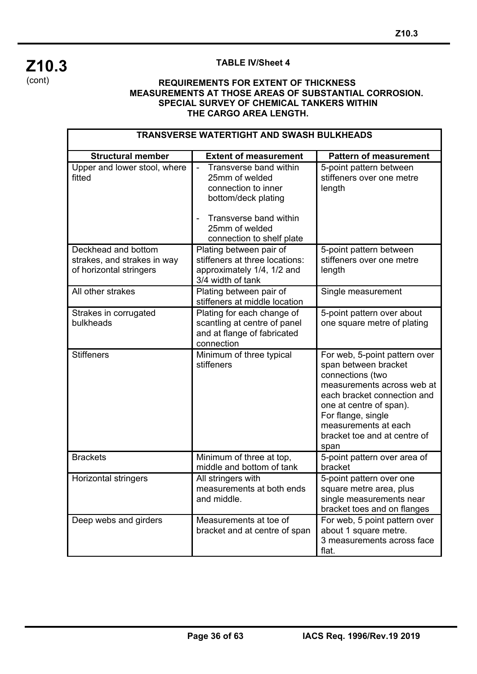## **Z10.3**  (cont)

í

## **TABLE IV/Sheet 4**

| <b>TRANSVERSE WATERTIGHT AND SWASH BULKHEADS</b>                              |                                                                                                                                                                                         |                                                                                                                                                                                                                                                         |  |  |  |  |
|-------------------------------------------------------------------------------|-----------------------------------------------------------------------------------------------------------------------------------------------------------------------------------------|---------------------------------------------------------------------------------------------------------------------------------------------------------------------------------------------------------------------------------------------------------|--|--|--|--|
| <b>Structural member</b>                                                      | <b>Extent of measurement</b>                                                                                                                                                            | <b>Pattern of measurement</b>                                                                                                                                                                                                                           |  |  |  |  |
| Upper and lower stool, where<br>fitted                                        | Transverse band within<br>$\blacksquare$<br>25mm of welded<br>connection to inner<br>bottom/deck plating<br>Transverse band within<br>÷,<br>25mm of welded<br>connection to shelf plate | 5-point pattern between<br>stiffeners over one metre<br>length                                                                                                                                                                                          |  |  |  |  |
| Deckhead and bottom<br>strakes, and strakes in way<br>of horizontal stringers | Plating between pair of<br>stiffeners at three locations:<br>approximately 1/4, 1/2 and<br>3/4 width of tank                                                                            | 5-point pattern between<br>stiffeners over one metre<br>length                                                                                                                                                                                          |  |  |  |  |
| All other strakes                                                             | Plating between pair of<br>stiffeners at middle location                                                                                                                                | Single measurement                                                                                                                                                                                                                                      |  |  |  |  |
| Strakes in corrugated<br>bulkheads                                            | Plating for each change of<br>scantling at centre of panel<br>and at flange of fabricated<br>connection                                                                                 | 5-point pattern over about<br>one square metre of plating                                                                                                                                                                                               |  |  |  |  |
| <b>Stiffeners</b>                                                             | Minimum of three typical<br>stiffeners                                                                                                                                                  | For web, 5-point pattern over<br>span between bracket<br>connections (two<br>measurements across web at<br>each bracket connection and<br>one at centre of span).<br>For flange, single<br>measurements at each<br>bracket toe and at centre of<br>span |  |  |  |  |
| <b>Brackets</b>                                                               | Minimum of three at top,<br>middle and bottom of tank                                                                                                                                   | 5-point pattern over area of<br>bracket                                                                                                                                                                                                                 |  |  |  |  |
| Horizontal stringers                                                          | All stringers with<br>measurements at both ends<br>and middle.                                                                                                                          | 5-point pattern over one<br>square metre area, plus<br>single measurements near<br>bracket toes and on flanges                                                                                                                                          |  |  |  |  |
| Deep webs and girders                                                         | Measurements at toe of<br>bracket and at centre of span                                                                                                                                 | For web, 5 point pattern over<br>about 1 square metre.<br>3 measurements across face<br>flat.                                                                                                                                                           |  |  |  |  |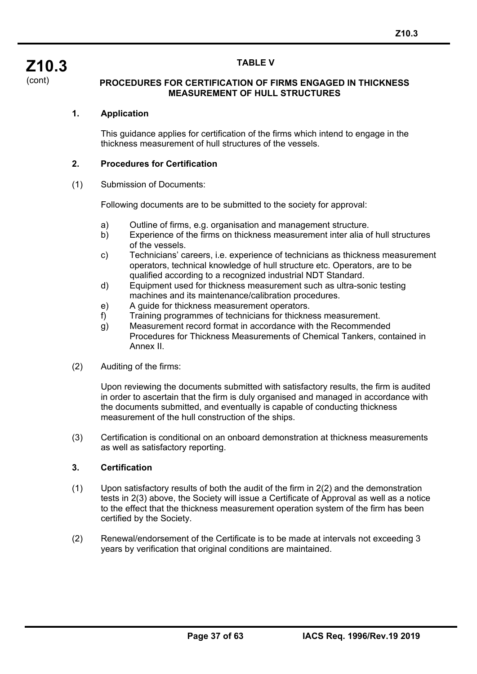#### **TABLE V**

**Z10.3**  (cont)

#### **PROCEDURES FOR CERTIFICATION OF FIRMS ENGAGED IN THICKNESS MEASUREMENT OF HULL STRUCTURES**

### **1. Application**

This guidance applies for certification of the firms which intend to engage in the thickness measurement of hull structures of the vessels.

#### **2. Procedures for Certification**

#### (1) Submission of Documents:

Following documents are to be submitted to the society for approval:

- a) Outline of firms, e.g. organisation and management structure.
- b) Experience of the firms on thickness measurement inter alia of hull structures of the vessels.
- c) Technicians' careers, i.e. experience of technicians as thickness measurement operators, technical knowledge of hull structure etc. Operators, are to be qualified according to a recognized industrial NDT Standard.
- d) Equipment used for thickness measurement such as ultra-sonic testing machines and its maintenance/calibration procedures.
- e) A guide for thickness measurement operators.
- f) Training programmes of technicians for thickness measurement.
- g) Measurement record format in accordance with the Recommended Procedures for Thickness Measurements of Chemical Tankers, contained in Annex II.
- (2) Auditing of the firms:

Upon reviewing the documents submitted with satisfactory results, the firm is audited in order to ascertain that the firm is duly organised and managed in accordance with the documents submitted, and eventually is capable of conducting thickness measurement of the hull construction of the ships.

(3) Certification is conditional on an onboard demonstration at thickness measurements as well as satisfactory reporting.

#### **3. Certification**

- (1) Upon satisfactory results of both the audit of the firm in 2(2) and the demonstration tests in 2(3) above, the Society will issue a Certificate of Approval as well as a notice to the effect that the thickness measurement operation system of the firm has been certified by the Society.
- (2) Renewal/endorsement of the Certificate is to be made at intervals not exceeding 3 years by verification that original conditions are maintained.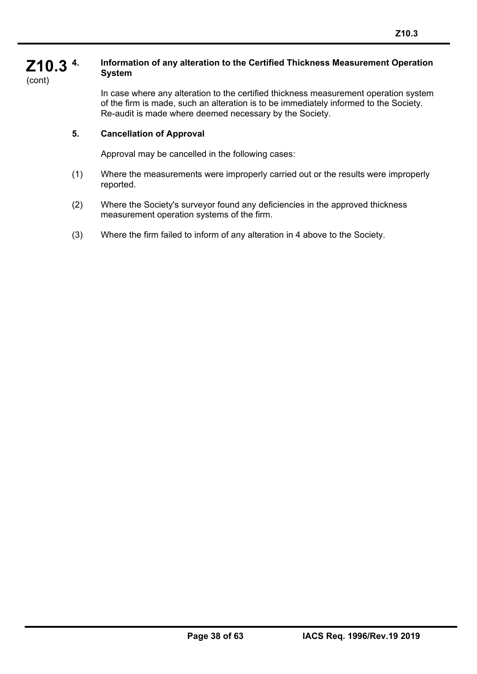#### **Z10.3 4. Information of any alteration to the Certified Thickness Measurement Operation System**

(cont)

í

In case where any alteration to the certified thickness measurement operation system of the firm is made, such an alteration is to be immediately informed to the Society. Re-audit is made where deemed necessary by the Society.

## **5. Cancellation of Approval**

Approval may be cancelled in the following cases:

- (1) Where the measurements were improperly carried out or the results were improperly reported.
- (2) Where the Society's surveyor found any deficiencies in the approved thickness measurement operation systems of the firm.
- (3) Where the firm failed to inform of any alteration in 4 above to the Society.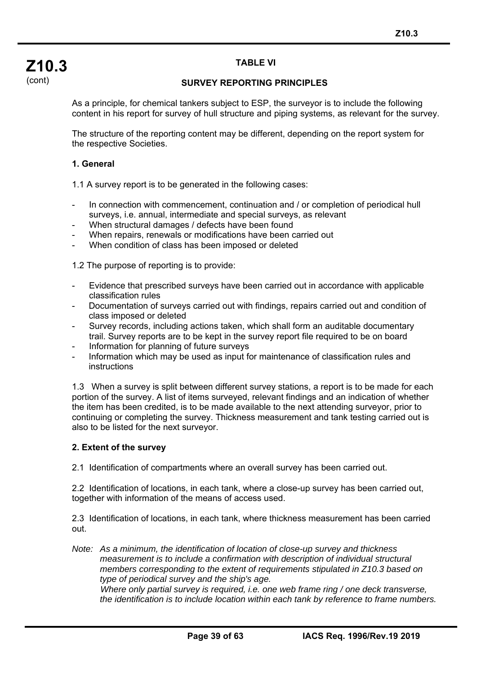## **TABLE VI**

### **SURVEY REPORTING PRINCIPLES**

As a principle, for chemical tankers subject to ESP, the surveyor is to include the following content in his report for survey of hull structure and piping systems, as relevant for the survey.

The structure of the reporting content may be different, depending on the report system for the respective Societies.

### **1. General**

1.1 A survey report is to be generated in the following cases:

- In connection with commencement, continuation and / or completion of periodical hull surveys, i.e. annual, intermediate and special surveys, as relevant
- When structural damages / defects have been found
- When repairs, renewals or modifications have been carried out
- When condition of class has been imposed or deleted

1.2 The purpose of reporting is to provide:

- Evidence that prescribed surveys have been carried out in accordance with applicable classification rules
- Documentation of surveys carried out with findings, repairs carried out and condition of class imposed or deleted
- Survey records, including actions taken, which shall form an auditable documentary trail. Survey reports are to be kept in the survey report file required to be on board
- Information for planning of future surveys
- Information which may be used as input for maintenance of classification rules and instructions

1.3 When a survey is split between different survey stations, a report is to be made for each portion of the survey. A list of items surveyed, relevant findings and an indication of whether the item has been credited, is to be made available to the next attending surveyor, prior to continuing or completing the survey. Thickness measurement and tank testing carried out is also to be listed for the next surveyor.

### **2. Extent of the survey**

í

2.1 Identification of compartments where an overall survey has been carried out.

2.2 Identification of locations, in each tank, where a close-up survey has been carried out, together with information of the means of access used.

2.3 Identification of locations, in each tank, where thickness measurement has been carried out.

*Note: As a minimum, the identification of location of close-up survey and thickness measurement is to include a confirmation with description of individual structural members corresponding to the extent of requirements stipulated in Z10.3 based on type of periodical survey and the ship's age.* 

 *Where only partial survey is required, i.e. one web frame ring / one deck transverse, the identification is to include location within each tank by reference to frame numbers.*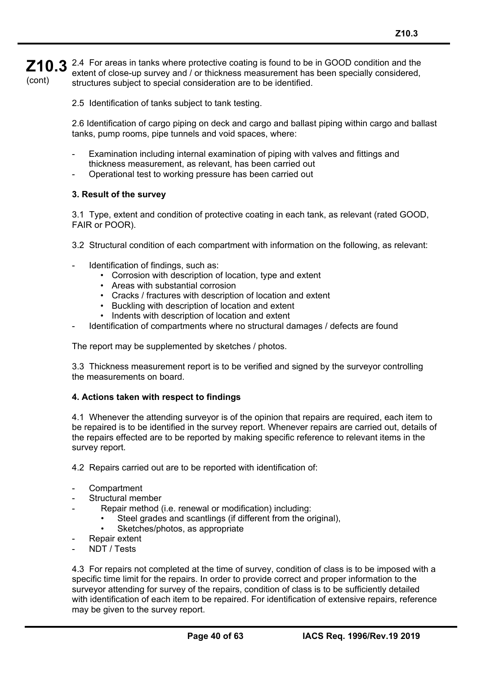**Z10.3** 2.4 For areas in tanks where protective coating is found to be in GOOD condition and the  $\mathbb{Z}$  extent of close-up survey and / or thickness measurement has been specially considered (cont) extent of close-up survey and / or thickness measurement has been specially considered, structures subject to special consideration are to be identified.

2.5 Identification of tanks subject to tank testing.

2.6 Identification of cargo piping on deck and cargo and ballast piping within cargo and ballast tanks, pump rooms, pipe tunnels and void spaces, where:

- Examination including internal examination of piping with valves and fittings and thickness measurement, as relevant, has been carried out
- Operational test to working pressure has been carried out

#### **3. Result of the survey**

3.1 Type, extent and condition of protective coating in each tank, as relevant (rated GOOD, FAIR or POOR).

- 3.2 Structural condition of each compartment with information on the following, as relevant:
- Identification of findings, such as:
	- Corrosion with description of location, type and extent
	- Areas with substantial corrosion
	- Cracks / fractures with description of location and extent
	- Buckling with description of location and extent
	- Indents with description of location and extent
- Identification of compartments where no structural damages / defects are found

The report may be supplemented by sketches / photos.

3.3 Thickness measurement report is to be verified and signed by the surveyor controlling the measurements on board.

#### **4. Actions taken with respect to findings**

4.1 Whenever the attending surveyor is of the opinion that repairs are required, each item to be repaired is to be identified in the survey report. Whenever repairs are carried out, details of the repairs effected are to be reported by making specific reference to relevant items in the survey report.

4.2 Repairs carried out are to be reported with identification of:

- Compartment
- Structural member
- Repair method (i.e. renewal or modification) including:
	- Steel grades and scantlings (if different from the original),
	- Sketches/photos, as appropriate
- Repair extent
- NDT / Tests

í

4.3 For repairs not completed at the time of survey, condition of class is to be imposed with a specific time limit for the repairs. In order to provide correct and proper information to the surveyor attending for survey of the repairs, condition of class is to be sufficiently detailed with identification of each item to be repaired. For identification of extensive repairs, reference may be given to the survey report.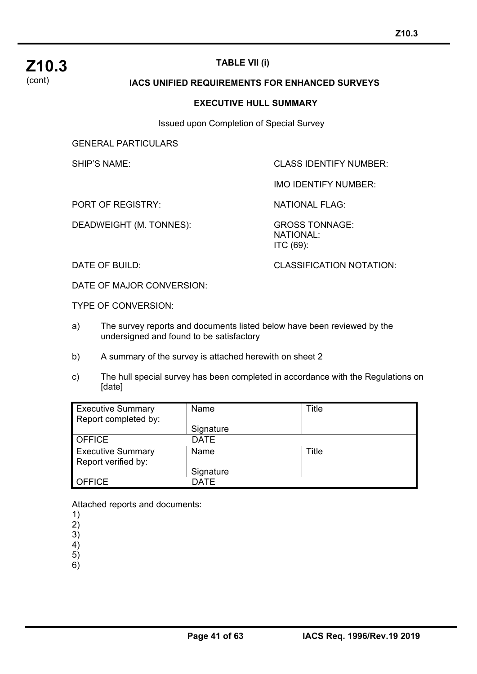

## **TABLE VII (i)**

#### **IACS UNIFIED REQUIREMENTS FOR ENHANCED SURVEYS**

#### **EXECUTIVE HULL SUMMARY**

Issued upon Completion of Special Survey

GENERAL PARTICULARS

SHIP'S NAME: CLASS IDENTIFY NUMBER:

IMO IDENTIFY NUMBER:

PORT OF REGISTRY: NATIONAL FLAG:

DEADWEIGHT (M. TONNES): GROSS TONNAGE:

 NATIONAL: ITC (69):

DATE OF BUILD: CLASSIFICATION NOTATION:

DATE OF MAJOR CONVERSION:

TYPE OF CONVERSION:

- a) The survey reports and documents listed below have been reviewed by the undersigned and found to be satisfactory
- b) A summary of the survey is attached herewith on sheet 2
- c) The hull special survey has been completed in accordance with the Regulations on [date]

| <b>Executive Summary</b><br>Report completed by: | Name        | Title |
|--------------------------------------------------|-------------|-------|
|                                                  | Signature   |       |
| <b>OFFICE</b>                                    | <b>DATE</b> |       |
| <b>Executive Summary</b><br>Report verified by:  | Name        | Title |
|                                                  | Signature   |       |
| <b>OFFICE</b>                                    | <b>DATF</b> |       |

Attached reports and documents:

1)

2) 3)

4)

5)

6)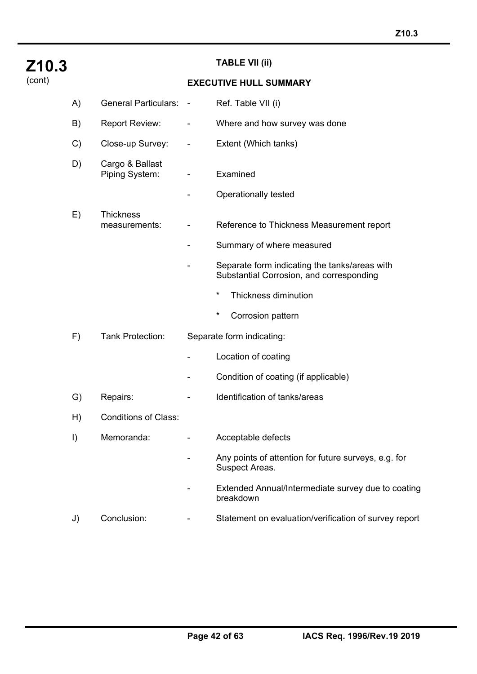| Z10.3  |         |                                   |                              | <b>TABLE VII (ii)</b>                                                                     |
|--------|---------|-----------------------------------|------------------------------|-------------------------------------------------------------------------------------------|
| (cont) |         |                                   |                              | <b>EXECUTIVE HULL SUMMARY</b>                                                             |
|        | A)      | <b>General Particulars:</b>       | $\sim$                       | Ref. Table VII (i)                                                                        |
|        | B)      | <b>Report Review:</b>             | -                            | Where and how survey was done                                                             |
|        | C)      | Close-up Survey:                  | -                            | Extent (Which tanks)                                                                      |
|        | D)      | Cargo & Ballast<br>Piping System: | $\qquad \qquad \blacksquare$ | Examined                                                                                  |
|        |         |                                   |                              | <b>Operationally tested</b>                                                               |
|        | E)      | <b>Thickness</b><br>measurements: |                              | Reference to Thickness Measurement report                                                 |
|        |         |                                   | -                            | Summary of where measured                                                                 |
|        |         |                                   |                              | Separate form indicating the tanks/areas with<br>Substantial Corrosion, and corresponding |
|        |         |                                   |                              | $^\star$<br>Thickness diminution                                                          |
|        |         |                                   |                              | $^\star$<br>Corrosion pattern                                                             |
|        | F)      | Tank Protection:                  |                              | Separate form indicating:                                                                 |
|        |         |                                   |                              | Location of coating                                                                       |
|        |         |                                   |                              | Condition of coating (if applicable)                                                      |
|        | G)      | Repairs:                          |                              | Identification of tanks/areas                                                             |
|        | H)      | <b>Conditions of Class:</b>       |                              |                                                                                           |
|        | $\vert$ | Memoranda:                        |                              | Acceptable defects                                                                        |
|        |         |                                   |                              | Any points of attention for future surveys, e.g. for<br>Suspect Areas.                    |
|        |         |                                   |                              | Extended Annual/Intermediate survey due to coating<br>breakdown                           |
|        | J)      | Conclusion:                       |                              | Statement on evaluation/verification of survey report                                     |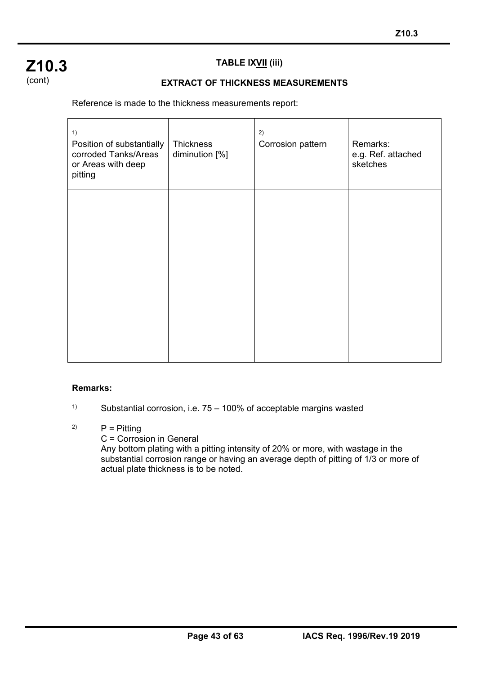## **Z10.3**  (cont)

## **TABLE IXVII (iii)**

## **EXTRACT OF THICKNESS MEASUREMENTS**

Reference is made to the thickness measurements report:

| 1)<br>Position of substantially<br>corroded Tanks/Areas<br>or Areas with deep<br>pitting | Thickness<br>diminution [%] | 2)<br>Corrosion pattern | Remarks:<br>e.g. Ref. attached<br>sketches |
|------------------------------------------------------------------------------------------|-----------------------------|-------------------------|--------------------------------------------|
|                                                                                          |                             |                         |                                            |
|                                                                                          |                             |                         |                                            |

### **Remarks:**

í

<sup>1)</sup> Substantial corrosion, i.e.  $75 - 100\%$  of acceptable margins wasted

## $P =$  Pitting

C = Corrosion in General

Any bottom plating with a pitting intensity of 20% or more, with wastage in the substantial corrosion range or having an average depth of pitting of 1/3 or more of actual plate thickness is to be noted.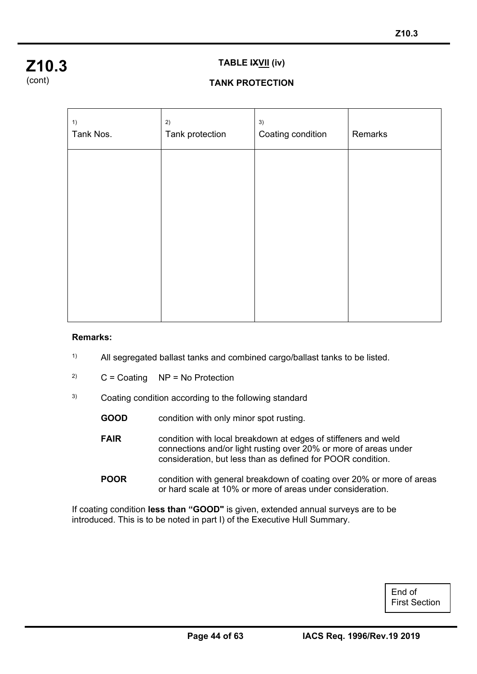

#### **TABLE IXVII (iv)**

## **TANK PROTECTION**

| 1)<br>Tank Nos. | 2)<br>Tank protection | 3)<br>Coating condition | Remarks |
|-----------------|-----------------------|-------------------------|---------|
|                 |                       |                         |         |
|                 |                       |                         |         |
|                 |                       |                         |         |
|                 |                       |                         |         |
|                 |                       |                         |         |

#### **Remarks:**

í

- 1) All segregated ballast tanks and combined cargo/ballast tanks to be listed.
- <sup>2)</sup>  $C =$  Coating  $NP = No$  Protection
- 3) Coating condition according to the following standard
	- **GOOD** condition with only minor spot rusting.
	- **FAIR** condition with local breakdown at edges of stiffeners and weld connections and/or light rusting over 20% or more of areas under consideration, but less than as defined for POOR condition.
	- **POOR** condition with general breakdown of coating over 20% or more of areas or hard scale at 10% or more of areas under consideration.

If coating condition **less than "GOOD"** is given, extended annual surveys are to be introduced. This is to be noted in part I) of the Executive Hull Summary.

> End of First Section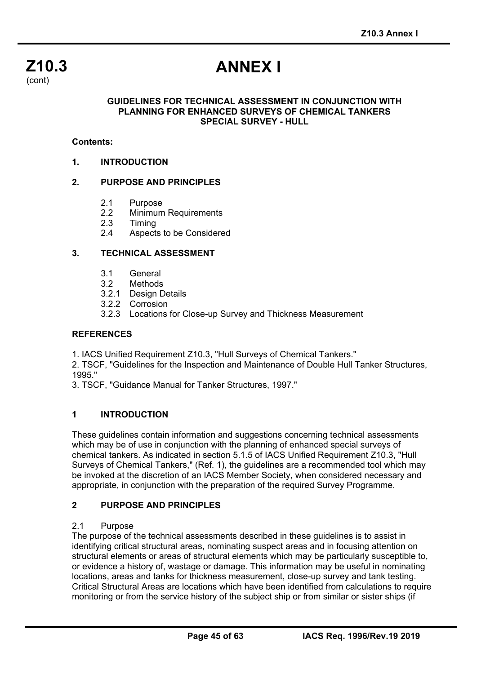

# **ANNEX I**

#### **GUIDELINES FOR TECHNICAL ASSESSMENT IN CONJUNCTION WITH PLANNING FOR ENHANCED SURVEYS OF CHEMICAL TANKERS SPECIAL SURVEY - HULL**

#### **Contents:**

**1. INTRODUCTION** 

#### **2. PURPOSE AND PRINCIPLES**

- 2.1 Purpose
- 2.2 Minimum Requirements
- 2.3 Timing<br>2.4 Aspect
- Aspects to be Considered

#### **3. TECHNICAL ASSESSMENT**

- 3.1 General
- 3.2 Methods
- 3.2.1 Design Details
- 3.2.2 Corrosion
- 3.2.3 Locations for Close-up Survey and Thickness Measurement

#### **REFERENCES**

1. IACS Unified Requirement Z10.3, "Hull Surveys of Chemical Tankers."

2. TSCF, "Guidelines for the Inspection and Maintenance of Double Hull Tanker Structures, 1995."

3. TSCF, "Guidance Manual for Tanker Structures, 1997."

#### **1 INTRODUCTION**

These guidelines contain information and suggestions concerning technical assessments which may be of use in conjunction with the planning of enhanced special surveys of chemical tankers. As indicated in section 5.1.5 of IACS Unified Requirement Z10.3, "Hull Surveys of Chemical Tankers," (Ref. 1), the guidelines are a recommended tool which may be invoked at the discretion of an IACS Member Society, when considered necessary and appropriate, in conjunction with the preparation of the required Survey Programme.

#### **2 PURPOSE AND PRINCIPLES**

#### 2.1 Purpose

í

The purpose of the technical assessments described in these guidelines is to assist in identifying critical structural areas, nominating suspect areas and in focusing attention on structural elements or areas of structural elements which may be particularly susceptible to, or evidence a history of, wastage or damage. This information may be useful in nominating locations, areas and tanks for thickness measurement, close-up survey and tank testing. Critical Structural Areas are locations which have been identified from calculations to require monitoring or from the service history of the subject ship or from similar or sister ships (if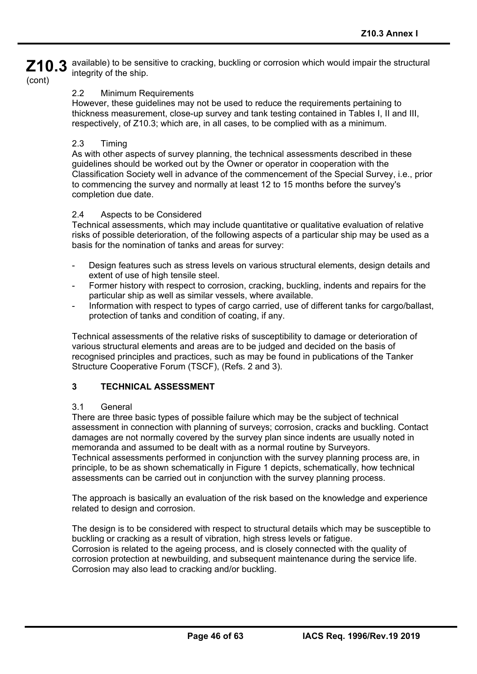**Z10.3**  available) to be sensitive to cracking, buckling or corrosion which would impair the structural integrity of the ship.

(cont)

#### 2.2 Minimum Requirements

However, these guidelines may not be used to reduce the requirements pertaining to thickness measurement, close-up survey and tank testing contained in Tables I, II and III, respectively, of Z10.3; which are, in all cases, to be complied with as a minimum.

#### 2.3 Timing

As with other aspects of survey planning, the technical assessments described in these guidelines should be worked out by the Owner or operator in cooperation with the Classification Society well in advance of the commencement of the Special Survey, i.e., prior to commencing the survey and normally at least 12 to 15 months before the survey's completion due date.

#### 2.4 Aspects to be Considered

Technical assessments, which may include quantitative or qualitative evaluation of relative risks of possible deterioration, of the following aspects of a particular ship may be used as a basis for the nomination of tanks and areas for survey:

- Design features such as stress levels on various structural elements, design details and extent of use of high tensile steel.
- Former history with respect to corrosion, cracking, buckling, indents and repairs for the particular ship as well as similar vessels, where available.
- Information with respect to types of cargo carried, use of different tanks for cargo/ballast, protection of tanks and condition of coating, if any.

Technical assessments of the relative risks of susceptibility to damage or deterioration of various structural elements and areas are to be judged and decided on the basis of recognised principles and practices, such as may be found in publications of the Tanker Structure Cooperative Forum (TSCF), (Refs. 2 and 3).

### **3 TECHNICAL ASSESSMENT**

#### 3.1 General

í

There are three basic types of possible failure which may be the subject of technical assessment in connection with planning of surveys; corrosion, cracks and buckling. Contact damages are not normally covered by the survey plan since indents are usually noted in memoranda and assumed to be dealt with as a normal routine by Surveyors. Technical assessments performed in conjunction with the survey planning process are, in principle, to be as shown schematically in Figure 1 depicts, schematically, how technical assessments can be carried out in conjunction with the survey planning process.

The approach is basically an evaluation of the risk based on the knowledge and experience related to design and corrosion.

The design is to be considered with respect to structural details which may be susceptible to buckling or cracking as a result of vibration, high stress levels or fatigue. Corrosion is related to the ageing process, and is closely connected with the quality of corrosion protection at newbuilding, and subsequent maintenance during the service life. Corrosion may also lead to cracking and/or buckling.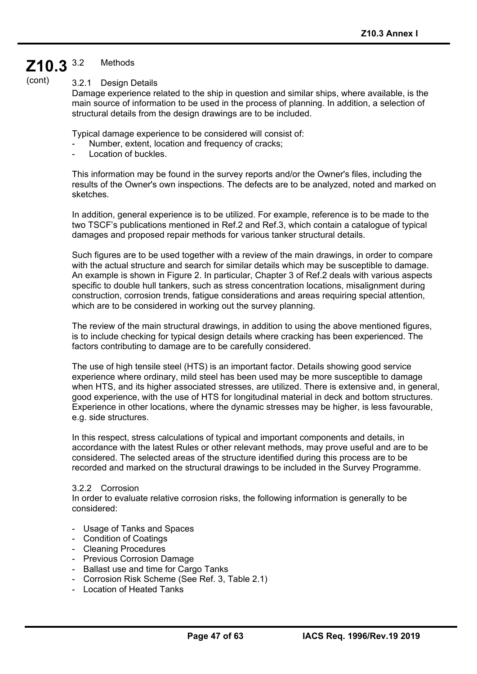#### **Z10.3 Methods**

(cont)

3.2.1 Design Details

Damage experience related to the ship in question and similar ships, where available, is the main source of information to be used in the process of planning. In addition, a selection of structural details from the design drawings are to be included.

Typical damage experience to be considered will consist of:

- Number, extent, location and frequency of cracks;
- Location of buckles.

This information may be found in the survey reports and/or the Owner's files, including the results of the Owner's own inspections. The defects are to be analyzed, noted and marked on sketches.

In addition, general experience is to be utilized. For example, reference is to be made to the two TSCF's publications mentioned in Ref.2 and Ref.3, which contain a catalogue of typical damages and proposed repair methods for various tanker structural details.

Such figures are to be used together with a review of the main drawings, in order to compare with the actual structure and search for similar details which may be susceptible to damage. An example is shown in Figure 2. In particular, Chapter 3 of Ref.2 deals with various aspects specific to double hull tankers, such as stress concentration locations, misalignment during construction, corrosion trends, fatigue considerations and areas requiring special attention, which are to be considered in working out the survey planning.

The review of the main structural drawings, in addition to using the above mentioned figures, is to include checking for typical design details where cracking has been experienced. The factors contributing to damage are to be carefully considered.

The use of high tensile steel (HTS) is an important factor. Details showing good service experience where ordinary, mild steel has been used may be more susceptible to damage when HTS, and its higher associated stresses, are utilized. There is extensive and, in general, good experience, with the use of HTS for longitudinal material in deck and bottom structures. Experience in other locations, where the dynamic stresses may be higher, is less favourable, e.g. side structures.

In this respect, stress calculations of typical and important components and details, in accordance with the latest Rules or other relevant methods, may prove useful and are to be considered. The selected areas of the structure identified during this process are to be recorded and marked on the structural drawings to be included in the Survey Programme.

#### 3.2.2 Corrosion

In order to evaluate relative corrosion risks, the following information is generally to be considered:

- Usage of Tanks and Spaces
- Condition of Coatings
- Cleaning Procedures

- Previous Corrosion Damage
- Ballast use and time for Cargo Tanks
- Corrosion Risk Scheme (See Ref. 3, Table 2.1)
- Location of Heated Tanks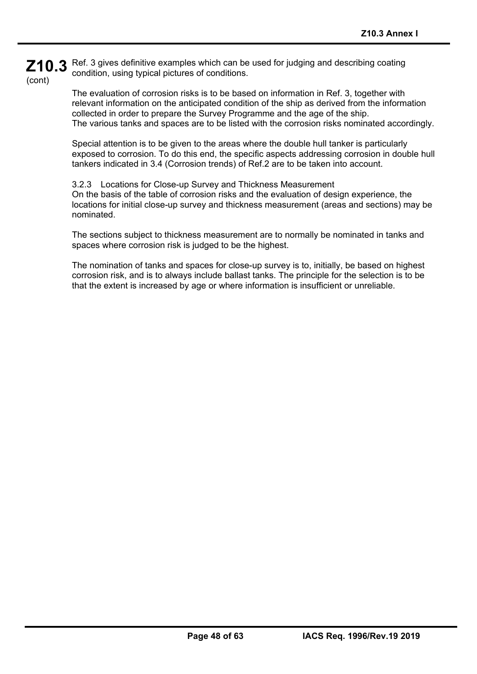**Z10.3**  Ref. 3 gives definitive examples which can be used for judging and describing coating (cont) condition, using typical pictures of conditions.

> The evaluation of corrosion risks is to be based on information in Ref. 3, together with relevant information on the anticipated condition of the ship as derived from the information collected in order to prepare the Survey Programme and the age of the ship. The various tanks and spaces are to be listed with the corrosion risks nominated accordingly.

> Special attention is to be given to the areas where the double hull tanker is particularly exposed to corrosion. To do this end, the specific aspects addressing corrosion in double hull tankers indicated in 3.4 (Corrosion trends) of Ref.2 are to be taken into account.

> 3.2.3 Locations for Close-up Survey and Thickness Measurement On the basis of the table of corrosion risks and the evaluation of design experience, the locations for initial close-up survey and thickness measurement (areas and sections) may be nominated.

The sections subject to thickness measurement are to normally be nominated in tanks and spaces where corrosion risk is judged to be the highest.

The nomination of tanks and spaces for close-up survey is to, initially, be based on highest corrosion risk, and is to always include ballast tanks. The principle for the selection is to be that the extent is increased by age or where information is insufficient or unreliable.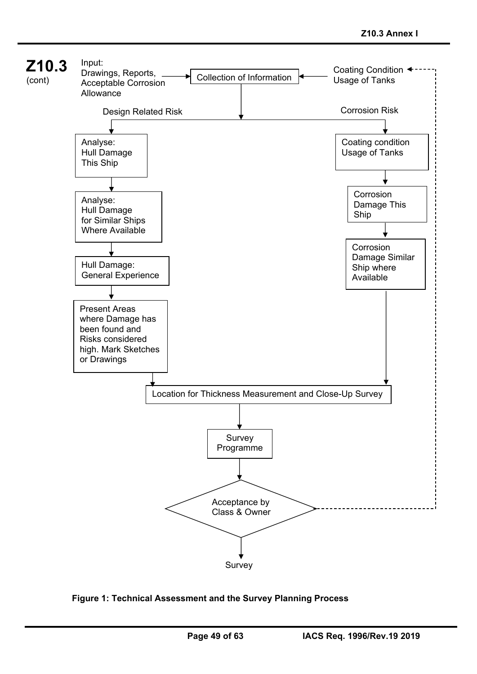

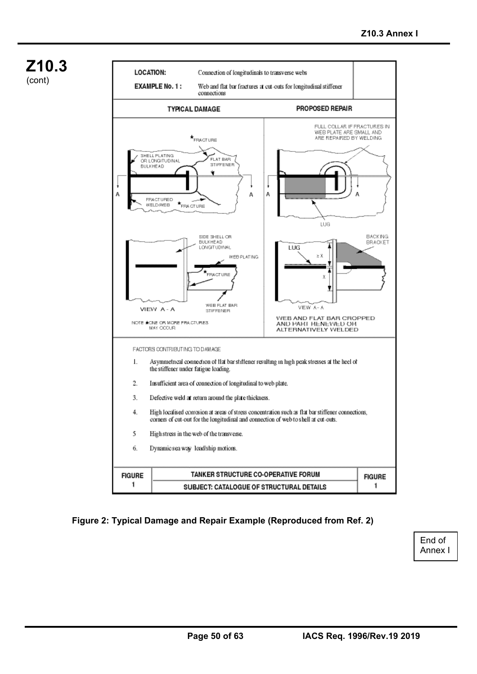

í



### **Figure 2: Typical Damage and Repair Example (Reproduced from Ref. 2)**

End of Annex I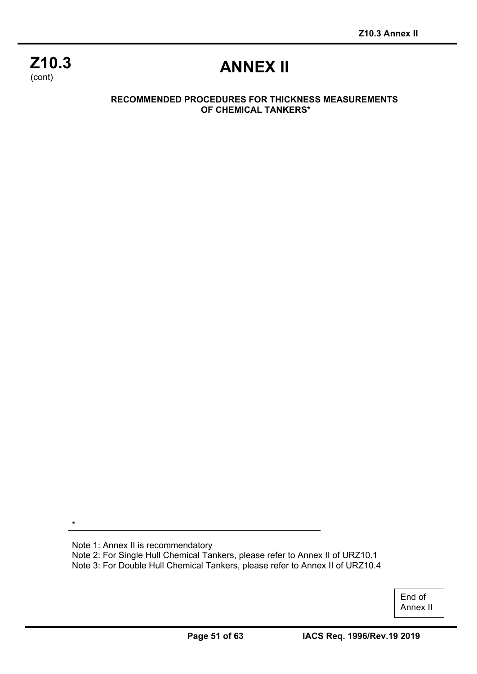## **Z10.3**  (cont)

# **ANNEX II**

#### **RECOMMENDED PROCEDURES FOR THICKNESS MEASUREMENTS OF CHEMICAL TANKERS\***

\*

í

Note 1: Annex II is recommendatory Note 2: For Single Hull Chemical Tankers, please refer to Annex II of URZ10.1 Note 3: For Double Hull Chemical Tankers, please refer to Annex II of URZ10.4

> End of Annex II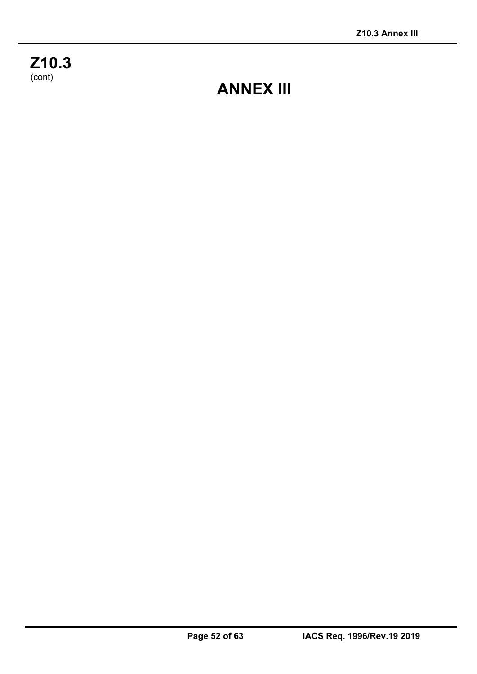**Z10.3**  (cont)

í

# **ANNEX III**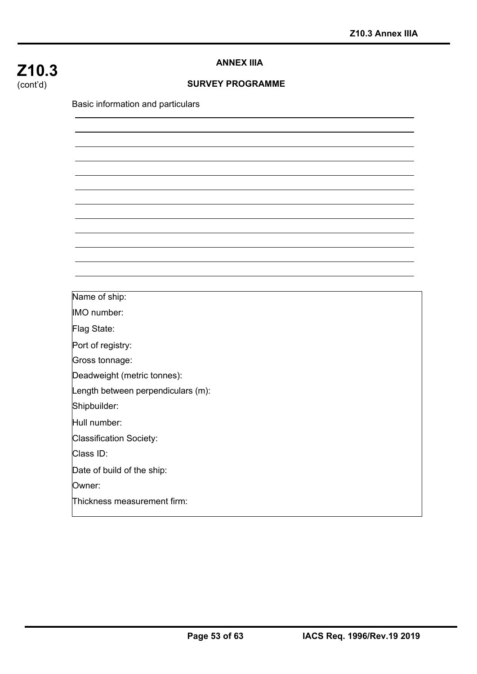## **Z10.3**  (cont'd)

#### **ANNEX IIIA**

#### **SURVEY PROGRAMME**

Basic information and particulars

Name of ship:

IMO number:

Flag State:

Port of registry:

Gross tonnage:

Deadweight (metric tonnes):

Length between perpendiculars (m):

Shipbuilder:

Hull number:

Classification Society:

Class ID:

Date of build of the ship:

Owner:

í

Thickness measurement firm: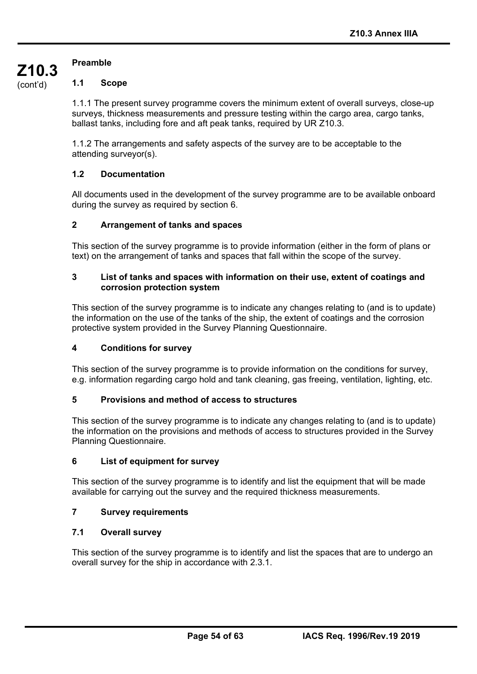### **Preamble**

**Z10.3**  (cont'd)

#### **1.1 Scope**

1.1.1 The present survey programme covers the minimum extent of overall surveys, close-up surveys, thickness measurements and pressure testing within the cargo area, cargo tanks, ballast tanks, including fore and aft peak tanks, required by UR Z10.3.

1.1.2 The arrangements and safety aspects of the survey are to be acceptable to the attending surveyor(s).

#### **1.2 Documentation**

All documents used in the development of the survey programme are to be available onboard during the survey as required by section 6.

#### **2 Arrangement of tanks and spaces**

This section of the survey programme is to provide information (either in the form of plans or text) on the arrangement of tanks and spaces that fall within the scope of the survey.

#### **3 List of tanks and spaces with information on their use, extent of coatings and corrosion protection system**

This section of the survey programme is to indicate any changes relating to (and is to update) the information on the use of the tanks of the ship, the extent of coatings and the corrosion protective system provided in the Survey Planning Questionnaire.

#### **4 Conditions for survey**

This section of the survey programme is to provide information on the conditions for survey, e.g. information regarding cargo hold and tank cleaning, gas freeing, ventilation, lighting, etc.

#### **5 Provisions and method of access to structures**

This section of the survey programme is to indicate any changes relating to (and is to update) the information on the provisions and methods of access to structures provided in the Survey Planning Questionnaire.

#### **6 List of equipment for survey**

This section of the survey programme is to identify and list the equipment that will be made available for carrying out the survey and the required thickness measurements.

#### **7 Survey requirements**

#### **7.1 Overall survey**

í

This section of the survey programme is to identify and list the spaces that are to undergo an overall survey for the ship in accordance with 2.3.1.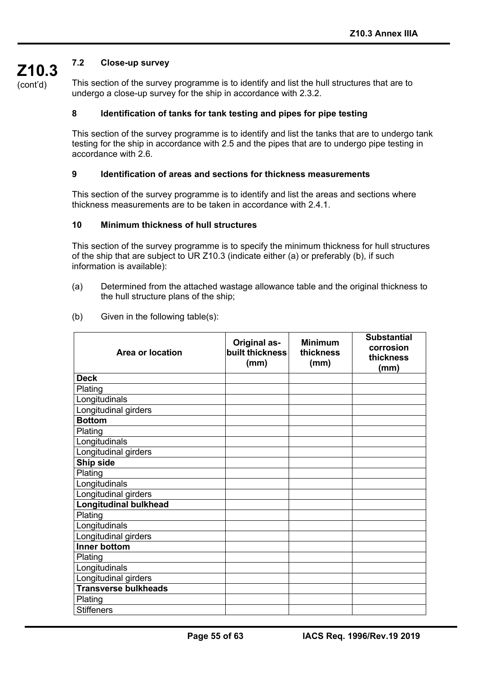## **7.2 Close-up survey**

**Z10.3**  (cont'd)

This section of the survey programme is to identify and list the hull structures that are to undergo a close-up survey for the ship in accordance with 2.3.2.

#### **8 Identification of tanks for tank testing and pipes for pipe testing**

This section of the survey programme is to identify and list the tanks that are to undergo tank testing for the ship in accordance with 2.5 and the pipes that are to undergo pipe testing in accordance with 2.6.

#### **9 Identification of areas and sections for thickness measurements**

This section of the survey programme is to identify and list the areas and sections where thickness measurements are to be taken in accordance with 2.4.1.

#### **10 Minimum thickness of hull structures**

This section of the survey programme is to specify the minimum thickness for hull structures of the ship that are subject to UR Z10.3 (indicate either (a) or preferably (b), if such information is available):

- (a) Determined from the attached wastage allowance table and the original thickness to the hull structure plans of the ship;
- (b) Given in the following table(s):

| <b>Area or location</b>      | <b>Original as-</b><br>built thickness<br>(mm) | <b>Minimum</b><br>thickness<br>(mm) | <b>Substantial</b><br>corrosion<br>thickness<br>(mm) |
|------------------------------|------------------------------------------------|-------------------------------------|------------------------------------------------------|
| <b>Deck</b>                  |                                                |                                     |                                                      |
| Plating                      |                                                |                                     |                                                      |
| Longitudinals                |                                                |                                     |                                                      |
| Longitudinal girders         |                                                |                                     |                                                      |
| <b>Bottom</b>                |                                                |                                     |                                                      |
| Plating                      |                                                |                                     |                                                      |
| Longitudinals                |                                                |                                     |                                                      |
| Longitudinal girders         |                                                |                                     |                                                      |
| Ship side                    |                                                |                                     |                                                      |
| Plating                      |                                                |                                     |                                                      |
| Longitudinals                |                                                |                                     |                                                      |
| Longitudinal girders         |                                                |                                     |                                                      |
| <b>Longitudinal bulkhead</b> |                                                |                                     |                                                      |
| Plating                      |                                                |                                     |                                                      |
| Longitudinals                |                                                |                                     |                                                      |
| Longitudinal girders         |                                                |                                     |                                                      |
| <b>Inner bottom</b>          |                                                |                                     |                                                      |
| Plating                      |                                                |                                     |                                                      |
| Longitudinals                |                                                |                                     |                                                      |
| Longitudinal girders         |                                                |                                     |                                                      |
| <b>Transverse bulkheads</b>  |                                                |                                     |                                                      |
| Plating                      |                                                |                                     |                                                      |
| <b>Stiffeners</b>            |                                                |                                     |                                                      |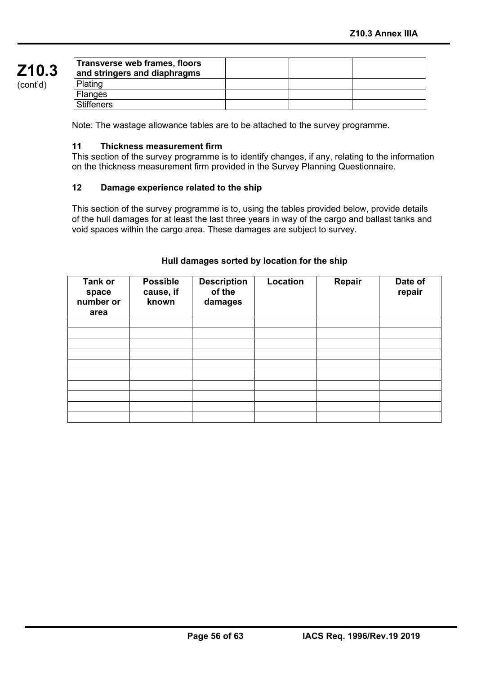| Transverse web frames, floors<br>and stringers and diaphragms |  |  |
|---------------------------------------------------------------|--|--|
| Plating                                                       |  |  |
| <b>Flanges</b>                                                |  |  |
| <b>Stiffeners</b>                                             |  |  |

Note: The wastage allowance tables are to be attached to the survey programme.

#### **11 Thickness measurement firm**

This section of the survey programme is to identify changes, if any, relating to the information on the thickness measurement firm provided in the Survey Planning Questionnaire.

#### **12 Damage experience related to the ship**

This section of the survey programme is to, using the tables provided below, provide details of the hull damages for at least the last three years in way of the cargo and ballast tanks and void spaces within the cargo area. These damages are subject to survey.

| <b>Tank or</b><br>space<br>number or<br>area | <b>Possible</b><br>cause, if<br>known | <b>Description</b><br>of the<br>damages | Location | Repair | Date of<br>repair |
|----------------------------------------------|---------------------------------------|-----------------------------------------|----------|--------|-------------------|
|                                              |                                       |                                         |          |        |                   |
|                                              |                                       |                                         |          |        |                   |
|                                              |                                       |                                         |          |        |                   |
|                                              |                                       |                                         |          |        |                   |
|                                              |                                       |                                         |          |        |                   |
|                                              |                                       |                                         |          |        |                   |
|                                              |                                       |                                         |          |        |                   |
|                                              |                                       |                                         |          |        |                   |
|                                              |                                       |                                         |          |        |                   |
|                                              |                                       |                                         |          |        |                   |

#### **Hull damages sorted by location for the ship**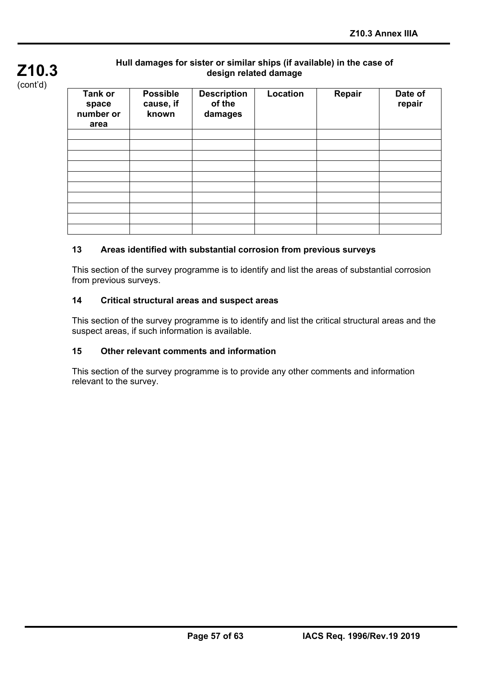

### **Hull damages for sister or similar ships (if available) in the case of design related damage**

| <b>Tank or</b><br>space<br>number or<br>area | <b>Possible</b><br>cause, if<br>known | <b>Description</b><br>of the<br>damages | Location | Repair | Date of<br>repair |
|----------------------------------------------|---------------------------------------|-----------------------------------------|----------|--------|-------------------|
|                                              |                                       |                                         |          |        |                   |
|                                              |                                       |                                         |          |        |                   |
|                                              |                                       |                                         |          |        |                   |
|                                              |                                       |                                         |          |        |                   |
|                                              |                                       |                                         |          |        |                   |
|                                              |                                       |                                         |          |        |                   |
|                                              |                                       |                                         |          |        |                   |
|                                              |                                       |                                         |          |        |                   |
|                                              |                                       |                                         |          |        |                   |
|                                              |                                       |                                         |          |        |                   |

## **13 Areas identified with substantial corrosion from previous surveys**

This section of the survey programme is to identify and list the areas of substantial corrosion from previous surveys.

#### **14 Critical structural areas and suspect areas**

This section of the survey programme is to identify and list the critical structural areas and the suspect areas, if such information is available.

#### **15 Other relevant comments and information**

This section of the survey programme is to provide any other comments and information relevant to the survey.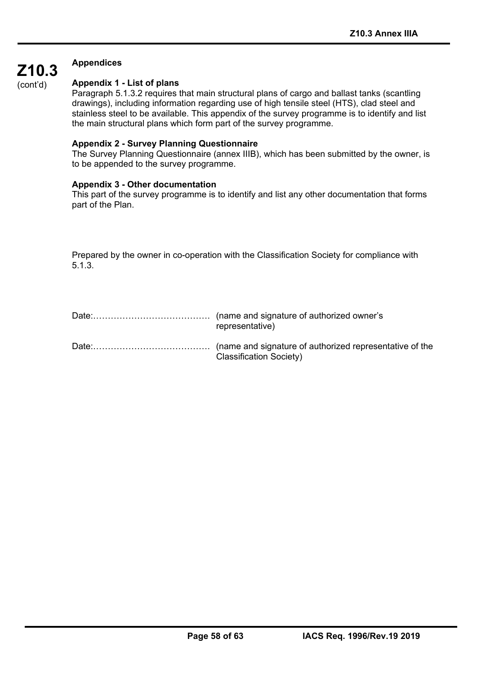### **Appendices**

í

(cont'd)

**Z10.3** 

#### **Appendix 1 - List of plans**

Paragraph 5.1.3.2 requires that main structural plans of cargo and ballast tanks (scantling drawings), including information regarding use of high tensile steel (HTS), clad steel and stainless steel to be available. This appendix of the survey programme is to identify and list the main structural plans which form part of the survey programme.

#### **Appendix 2 - Survey Planning Questionnaire**

The Survey Planning Questionnaire (annex IIIB), which has been submitted by the owner, is to be appended to the survey programme.

#### **Appendix 3 - Other documentation**

This part of the survey programme is to identify and list any other documentation that forms part of the Plan.

Prepared by the owner in co-operation with the Classification Society for compliance with 5.1.3.

| representative)                |
|--------------------------------|
| <b>Classification Society)</b> |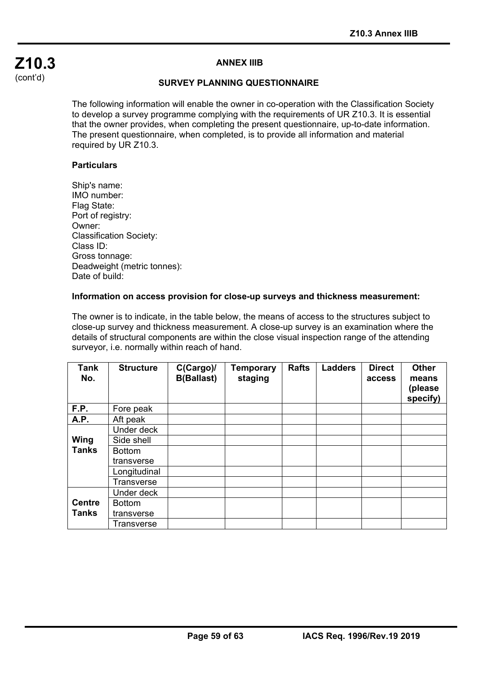#### **ANNEX IIIB**

#### **SURVEY PLANNING QUESTIONNAIRE**

The following information will enable the owner in co-operation with the Classification Society to develop a survey programme complying with the requirements of UR Z10.3. It is essential that the owner provides, when completing the present questionnaire, up-to-date information. The present questionnaire, when completed, is to provide all information and material required by UR Z10.3.

#### **Particulars**

í

Ship's name: IMO number: Flag State: Port of registry: Owner: Classification Society: Class ID: Gross tonnage: Deadweight (metric tonnes): Date of build:

#### **Information on access provision for close-up surveys and thickness measurement:**

The owner is to indicate, in the table below, the means of access to the structures subject to close-up survey and thickness measurement. A close-up survey is an examination where the details of structural components are within the close visual inspection range of the attending surveyor, i.e. normally within reach of hand.

| <b>Tank</b><br>No. | <b>Structure</b> | C(Cargo)<br><b>B(Ballast)</b> | Temporary<br>staging | <b>Rafts</b> | <b>Ladders</b> | <b>Direct</b><br>access | <b>Other</b><br>means<br>(please<br>specify) |
|--------------------|------------------|-------------------------------|----------------------|--------------|----------------|-------------------------|----------------------------------------------|
| F.P.               | Fore peak        |                               |                      |              |                |                         |                                              |
| <b>A.P.</b>        | Aft peak         |                               |                      |              |                |                         |                                              |
|                    | Under deck       |                               |                      |              |                |                         |                                              |
| Wing               | Side shell       |                               |                      |              |                |                         |                                              |
| <b>Tanks</b>       | <b>Bottom</b>    |                               |                      |              |                |                         |                                              |
|                    | transverse       |                               |                      |              |                |                         |                                              |
|                    | Longitudinal     |                               |                      |              |                |                         |                                              |
|                    | Transverse       |                               |                      |              |                |                         |                                              |
|                    | Under deck       |                               |                      |              |                |                         |                                              |
| <b>Centre</b>      | <b>Bottom</b>    |                               |                      |              |                |                         |                                              |
| <b>Tanks</b>       | transverse       |                               |                      |              |                |                         |                                              |
|                    | Transverse       |                               |                      |              |                |                         |                                              |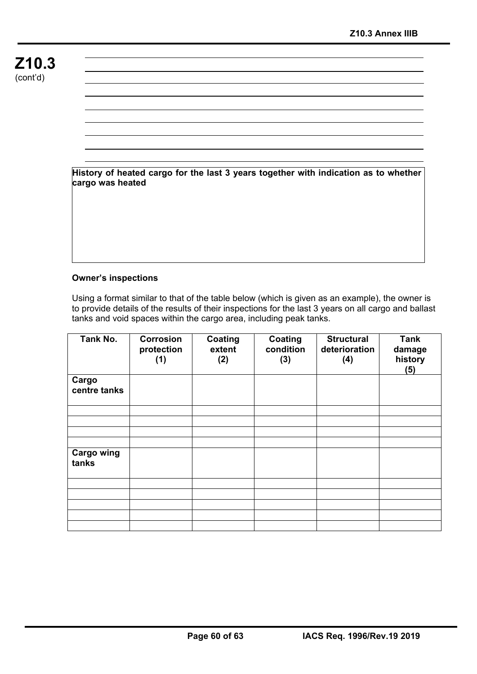**History of heated cargo for the last 3 years together with indication as to whether cargo was heated** 

#### **Owner's inspections**

í

Using a format similar to that of the table below (which is given as an example), the owner is to provide details of the results of their inspections for the last 3 years on all cargo and ballast tanks and void spaces within the cargo area, including peak tanks.

| Tank No.                   | Corrosion<br>protection<br>(1) | Coating<br>extent<br>(2) | Coating<br>condition<br>(3) | <b>Structural</b><br>deterioration<br>(4) | <b>Tank</b><br>damage<br>history<br>(5) |
|----------------------------|--------------------------------|--------------------------|-----------------------------|-------------------------------------------|-----------------------------------------|
| Cargo<br>centre tanks      |                                |                          |                             |                                           |                                         |
|                            |                                |                          |                             |                                           |                                         |
|                            |                                |                          |                             |                                           |                                         |
|                            |                                |                          |                             |                                           |                                         |
| <b>Cargo wing</b><br>tanks |                                |                          |                             |                                           |                                         |
|                            |                                |                          |                             |                                           |                                         |
|                            |                                |                          |                             |                                           |                                         |
|                            |                                |                          |                             |                                           |                                         |
|                            |                                |                          |                             |                                           |                                         |
|                            |                                |                          |                             |                                           |                                         |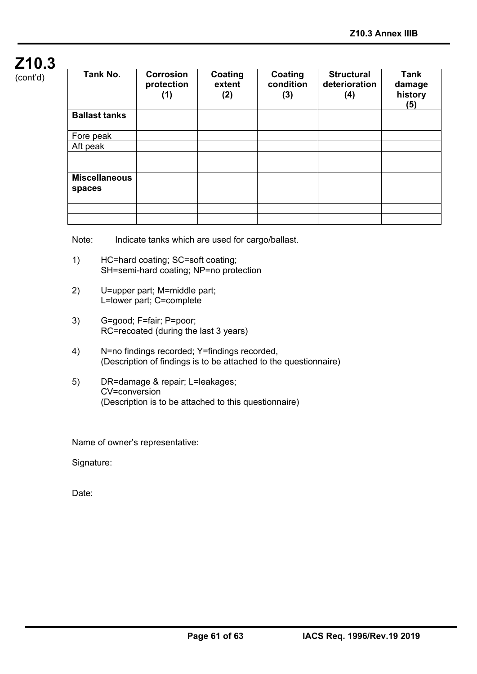## **Z10.3**   $(const'd)$

|  |  | (GULIL U <i>J</i> |  |
|--|--|-------------------|--|
|  |  |                   |  |

| Tank No.             | Corrosion<br>protection<br>(1) | Coating<br>extent<br>(2) | Coating<br>condition<br>(3) | <b>Structural</b><br>deterioration<br>(4) | Tank<br>damage<br>history<br>(5) |
|----------------------|--------------------------------|--------------------------|-----------------------------|-------------------------------------------|----------------------------------|
| <b>Ballast tanks</b> |                                |                          |                             |                                           |                                  |
| Fore peak            |                                |                          |                             |                                           |                                  |
| Aft peak             |                                |                          |                             |                                           |                                  |
|                      |                                |                          |                             |                                           |                                  |
|                      |                                |                          |                             |                                           |                                  |
| <b>Miscellaneous</b> |                                |                          |                             |                                           |                                  |
| spaces               |                                |                          |                             |                                           |                                  |
|                      |                                |                          |                             |                                           |                                  |
|                      |                                |                          |                             |                                           |                                  |
|                      |                                |                          |                             |                                           |                                  |

Note: Indicate tanks which are used for cargo/ballast.

- 1) HC=hard coating; SC=soft coating; SH=semi-hard coating; NP=no protection
- 2) U=upper part; M=middle part; L=lower part; C=complete
- 3) G=good; F=fair; P=poor; RC=recoated (during the last 3 years)
- 4) N=no findings recorded; Y=findings recorded, (Description of findings is to be attached to the questionnaire)
- 5) DR=damage & repair; L=leakages; CV=conversion (Description is to be attached to this questionnaire)

Name of owner's representative:

Signature:

Date: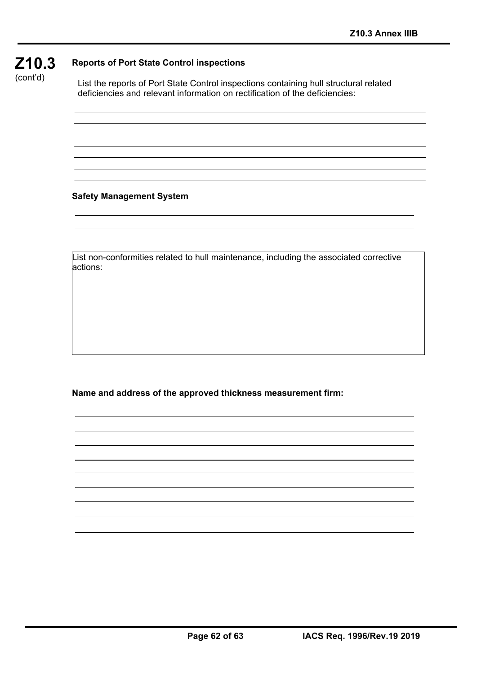

#### **Reports of Port State Control inspections**

List the reports of Port State Control inspections containing hull structural related deficiencies and relevant information on rectification of the deficiencies:

#### **Safety Management System**

í

List non-conformities related to hull maintenance, including the associated corrective actions:

**Name and address of the approved thickness measurement firm:**